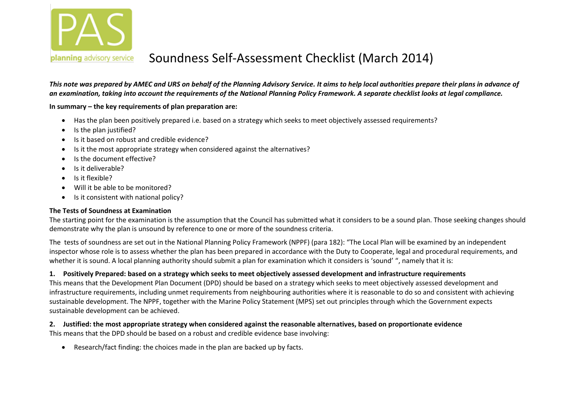

#### planning advisory service Soundness Self-Assessment Checklist (March 2014)

*This note was prepared by AMEC and URS on behalf of the Planning Advisory Service. It aims to help local authorities prepare their plans in advance of an examination, taking into account the requirements of the National Planning Policy Framework. A separate checklist looks at legal compliance.* 

#### **In summary – the key requirements of plan preparation are:**

- Has the plan been positively prepared i.e. based on a strategy which seeks to meet objectively assessed requirements?
- Is the plan justified?
- Is it based on robust and credible evidence?
- Is it the most appropriate strategy when considered against the alternatives?
- Is the document effective?
- Is it deliverable?
- $\bullet$  Is it flexible?
- Will it be able to be monitored?
- Is it consistent with national policy?

#### **The Tests of Soundness at Examination**

The starting point for the examination is the assumption that the Council has submitted what it considers to be a sound plan. Those seeking changes should demonstrate why the plan is unsound by reference to one or more of the soundness criteria.

The tests of soundness are set out in the National Planning Policy Framework (NPPF) (para 182): "The Local Plan will be examined by an independent inspector whose role is to assess whether the plan has been prepared in accordance with the Duty to Cooperate, legal and procedural requirements, and whether it is sound. A local planning authority should submit a plan for examination which it considers is 'sound' ", namely that it is:

#### **1. Positively Prepared: based on a strategy which seeks to meet objectively assessed development and infrastructure requirements**

This means that the Development Plan Document (DPD) should be based on a strategy which seeks to meet objectively assessed development and infrastructure requirements, including unmet requirements from neighbouring authorities where it is reasonable to do so and consistent with achieving sustainable development. The NPPF, together with the Marine Policy Statement (MPS) set out principles through which the Government expects sustainable development can be achieved.

**2. Justified: the most appropriate strategy when considered against the reasonable alternatives, based on proportionate evidence** This means that the DPD should be based on a robust and credible evidence base involving:

Research/fact finding: the choices made in the plan are backed up by facts.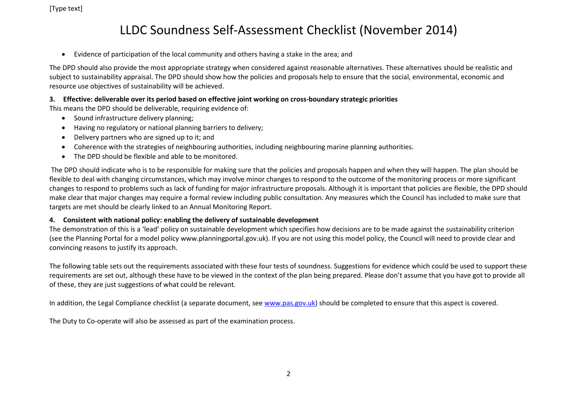Evidence of participation of the local community and others having a stake in the area; and

The DPD should also provide the most appropriate strategy when considered against reasonable alternatives. These alternatives should be realistic and subject to sustainability appraisal. The DPD should show how the policies and proposals help to ensure that the social, environmental, economic and resource use objectives of sustainability will be achieved.

#### **3. Effective: deliverable over its period based on effective joint working on cross-boundary strategic priorities**

This means the DPD should be deliverable, requiring evidence of:

- Sound infrastructure delivery planning;
- Having no regulatory or national planning barriers to delivery;
- Delivery partners who are signed up to it; and
- Coherence with the strategies of neighbouring authorities, including neighbouring marine planning authorities.
- The DPD should be flexible and able to be monitored.

The DPD should indicate who is to be responsible for making sure that the policies and proposals happen and when they will happen. The plan should be flexible to deal with changing circumstances, which may involve minor changes to respond to the outcome of the monitoring process or more significant changes to respond to problems such as lack of funding for major infrastructure proposals. Although it is important that policies are flexible, the DPD should make clear that major changes may require a formal review including public consultation. Any measures which the Council has included to make sure that targets are met should be clearly linked to an Annual Monitoring Report.

#### **4. Consistent with national policy: enabling the delivery of sustainable development**

The demonstration of this is a 'lead' policy on sustainable development which specifies how decisions are to be made against the sustainability criterion (see the Planning Portal for a model policy www.planningportal.gov.uk). If you are not using this model policy, the Council will need to provide clear and convincing reasons to justify its approach.

The following table sets out the requirements associated with these four tests of soundness. Suggestions for evidence which could be used to support these requirements are set out, although these have to be viewed in the context of the plan being prepared. Please don't assume that you have got to provide all of these, they are just suggestions of what could be relevant.

In addition, the Legal Compliance checklist (a separate document, see [www.pas.gov.uk\)](http://www.pas.gov.uk/) should be completed to ensure that this aspect is covered.

The Duty to Co-operate will also be assessed as part of the examination process.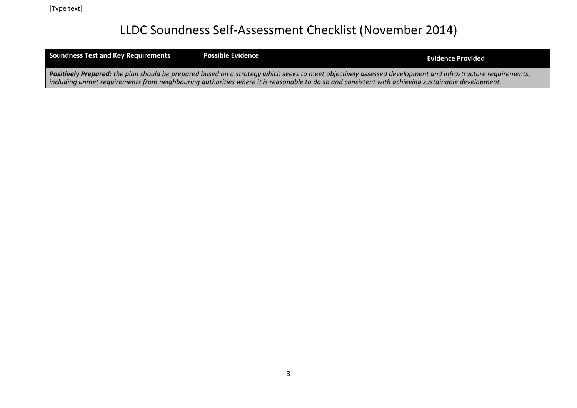| <b>Soundness Test and Key Requirements</b> | <b>Possible Evidence</b> | <b>Evidence Provided</b>                                                                                                                                                                                                                                                                                        |
|--------------------------------------------|--------------------------|-----------------------------------------------------------------------------------------------------------------------------------------------------------------------------------------------------------------------------------------------------------------------------------------------------------------|
|                                            |                          | Positively Prepared: the plan should be prepared based on a strategy which seeks to meet objectively assessed development and infrastructure requirements,<br>including unmet requirements from neighbouring authorities where it is reasonable to do so and consistent with achieving sustainable development. |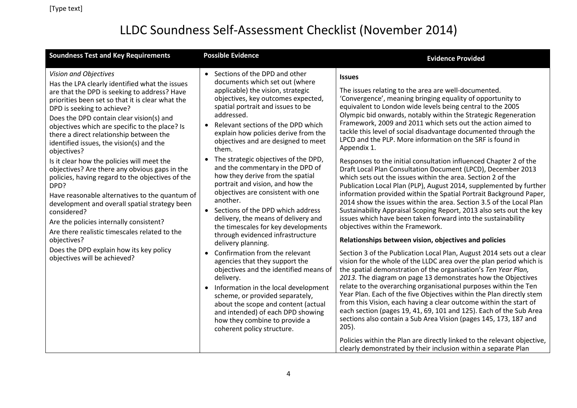| <b>Soundness Test and Key Requirements</b>                                                                                                                                                                                                                                                                                                                                                                                                                                                                                                                                                                                                                                  | <b>Possible Evidence</b>                                                                                                                                                                                                                                                                                                                                                                                                                                                                                                                           | <b>Evidence Provided</b>                                                                                                                                                                                                                                                                                                                                                                                                                                                                                                                                                                                                                                                                                                                                                                                                                                                                                                                                                        |
|-----------------------------------------------------------------------------------------------------------------------------------------------------------------------------------------------------------------------------------------------------------------------------------------------------------------------------------------------------------------------------------------------------------------------------------------------------------------------------------------------------------------------------------------------------------------------------------------------------------------------------------------------------------------------------|----------------------------------------------------------------------------------------------------------------------------------------------------------------------------------------------------------------------------------------------------------------------------------------------------------------------------------------------------------------------------------------------------------------------------------------------------------------------------------------------------------------------------------------------------|---------------------------------------------------------------------------------------------------------------------------------------------------------------------------------------------------------------------------------------------------------------------------------------------------------------------------------------------------------------------------------------------------------------------------------------------------------------------------------------------------------------------------------------------------------------------------------------------------------------------------------------------------------------------------------------------------------------------------------------------------------------------------------------------------------------------------------------------------------------------------------------------------------------------------------------------------------------------------------|
| Vision and Objectives<br>Has the LPA clearly identified what the issues<br>are that the DPD is seeking to address? Have<br>priorities been set so that it is clear what the<br>DPD is seeking to achieve?<br>Does the DPD contain clear vision(s) and<br>objectives which are specific to the place? Is<br>there a direct relationship between the<br>identified issues, the vision(s) and the<br>objectives?<br>Is it clear how the policies will meet the<br>objectives? Are there any obvious gaps in the<br>policies, having regard to the objectives of the<br>DPD?<br>Have reasonable alternatives to the quantum of<br>development and overall spatial strategy been | • Sections of the DPD and other<br>documents which set out (where<br>applicable) the vision, strategic<br>objectives, key outcomes expected,<br>spatial portrait and issues to be<br>addressed.<br>Relevant sections of the DPD which<br>$\bullet$<br>explain how policies derive from the<br>objectives and are designed to meet<br>them.<br>• The strategic objectives of the DPD,<br>and the commentary in the DPD of<br>how they derive from the spatial<br>portrait and vision, and how the<br>objectives are consistent with one<br>another. | <b>Issues</b><br>The issues relating to the area are well-documented.<br>'Convergence', meaning bringing equality of opportunity to<br>equivalent to London wide levels being central to the 2005<br>Olympic bid onwards, notably within the Strategic Regeneration<br>Framework, 2009 and 2011 which sets out the action aimed to<br>tackle this level of social disadvantage documented through the<br>LPCD and the PLP. More information on the SRF is found in<br>Appendix 1.<br>Responses to the initial consultation influenced Chapter 2 of the<br>Draft Local Plan Consultation Document (LPCD), December 2013<br>which sets out the issues within the area. Section 2 of the<br>Publication Local Plan (PLP), August 2014, supplemented by further<br>information provided within the Spatial Portrait Background Paper,<br>2014 show the issues within the area. Section 3.5 of the Local Plan<br>Sustainability Appraisal Scoping Report, 2013 also sets out the key |
| considered?<br>Are the policies internally consistent?<br>Are there realistic timescales related to the<br>objectives?<br>Does the DPD explain how its key policy<br>objectives will be achieved?                                                                                                                                                                                                                                                                                                                                                                                                                                                                           | • Sections of the DPD which address<br>delivery, the means of delivery and<br>the timescales for key developments<br>through evidenced infrastructure<br>delivery planning.<br>• Confirmation from the relevant<br>agencies that they support the<br>objectives and the identified means of<br>delivery.<br>• Information in the local development<br>scheme, or provided separately,<br>about the scope and content (actual<br>and intended) of each DPD showing<br>how they combine to provide a                                                 | issues which have been taken forward into the sustainability<br>objectives within the Framework.<br>Relationships between vision, objectives and policies<br>Section 3 of the Publication Local Plan, August 2014 sets out a clear<br>vision for the whole of the LLDC area over the plan period which is<br>the spatial demonstration of the organisation's Ten Year Plan,<br>2013. The diagram on page 13 demonstrates how the Objectives<br>relate to the overarching organisational purposes within the Ten<br>Year Plan. Each of the five Objectives within the Plan directly stem<br>from this Vision, each having a clear outcome within the start of<br>each section (pages 19, 41, 69, 101 and 125). Each of the Sub Area<br>sections also contain a Sub Area Vision (pages 145, 173, 187 and                                                                                                                                                                          |
|                                                                                                                                                                                                                                                                                                                                                                                                                                                                                                                                                                                                                                                                             | coherent policy structure.                                                                                                                                                                                                                                                                                                                                                                                                                                                                                                                         | $205$ ).<br>Policies within the Plan are directly linked to the relevant objective,<br>clearly demonstrated by their inclusion within a separate Plan                                                                                                                                                                                                                                                                                                                                                                                                                                                                                                                                                                                                                                                                                                                                                                                                                           |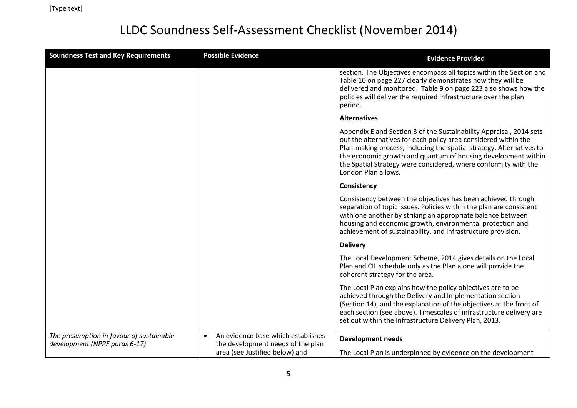| <b>Soundness Test and Key Requirements</b>                                | <b>Possible Evidence</b>                                                                                               | <b>Evidence Provided</b>                                                                                                                                                                                                                                                                                                                                                  |
|---------------------------------------------------------------------------|------------------------------------------------------------------------------------------------------------------------|---------------------------------------------------------------------------------------------------------------------------------------------------------------------------------------------------------------------------------------------------------------------------------------------------------------------------------------------------------------------------|
|                                                                           |                                                                                                                        | section. The Objectives encompass all topics within the Section and<br>Table 10 on page 227 clearly demonstrates how they will be<br>delivered and monitored. Table 9 on page 223 also shows how the<br>policies will deliver the required infrastructure over the plan<br>period.                                                                                        |
|                                                                           |                                                                                                                        | <b>Alternatives</b>                                                                                                                                                                                                                                                                                                                                                       |
|                                                                           |                                                                                                                        | Appendix E and Section 3 of the Sustainability Appraisal, 2014 sets<br>out the alternatives for each policy area considered within the<br>Plan-making process, including the spatial strategy. Alternatives to<br>the economic growth and quantum of housing development within<br>the Spatial Strategy were considered, where conformity with the<br>London Plan allows. |
|                                                                           |                                                                                                                        | Consistency                                                                                                                                                                                                                                                                                                                                                               |
|                                                                           |                                                                                                                        | Consistency between the objectives has been achieved through<br>separation of topic issues. Policies within the plan are consistent<br>with one another by striking an appropriate balance between<br>housing and economic growth, environmental protection and<br>achievement of sustainability, and infrastructure provision.                                           |
|                                                                           |                                                                                                                        | <b>Delivery</b>                                                                                                                                                                                                                                                                                                                                                           |
|                                                                           |                                                                                                                        | The Local Development Scheme, 2014 gives details on the Local<br>Plan and CIL schedule only as the Plan alone will provide the<br>coherent strategy for the area.                                                                                                                                                                                                         |
|                                                                           |                                                                                                                        | The Local Plan explains how the policy objectives are to be<br>achieved through the Delivery and Implementation section<br>(Section 14), and the explanation of the objectives at the front of<br>each section (see above). Timescales of infrastructure delivery are<br>set out within the Infrastructure Delivery Plan, 2013.                                           |
| The presumption in favour of sustainable<br>development (NPPF paras 6-17) | An evidence base which establishes<br>$\bullet$<br>the development needs of the plan<br>area (see Justified below) and | <b>Development needs</b><br>The Local Plan is underpinned by evidence on the development                                                                                                                                                                                                                                                                                  |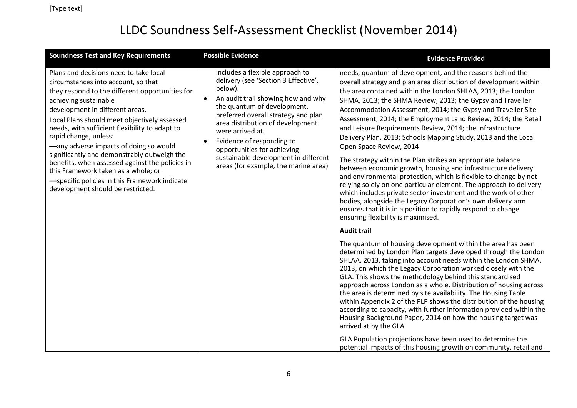| <b>Soundness Test and Key Requirements</b>                                                                                                                                                                                                                                                                                                                                                                                                                                                                                                                                                        | <b>Possible Evidence</b>                                                                                                                                                                                                                                                                                                                                                                                                     | <b>Evidence Provided</b>                                                                                                                                                                                                                                                                                                                                                                                                                                                                                                                                                                                                                                                                                                                                                                                                                                                                                                                                                                                                                                                  |
|---------------------------------------------------------------------------------------------------------------------------------------------------------------------------------------------------------------------------------------------------------------------------------------------------------------------------------------------------------------------------------------------------------------------------------------------------------------------------------------------------------------------------------------------------------------------------------------------------|------------------------------------------------------------------------------------------------------------------------------------------------------------------------------------------------------------------------------------------------------------------------------------------------------------------------------------------------------------------------------------------------------------------------------|---------------------------------------------------------------------------------------------------------------------------------------------------------------------------------------------------------------------------------------------------------------------------------------------------------------------------------------------------------------------------------------------------------------------------------------------------------------------------------------------------------------------------------------------------------------------------------------------------------------------------------------------------------------------------------------------------------------------------------------------------------------------------------------------------------------------------------------------------------------------------------------------------------------------------------------------------------------------------------------------------------------------------------------------------------------------------|
| Plans and decisions need to take local<br>circumstances into account, so that<br>they respond to the different opportunities for<br>achieving sustainable<br>development in different areas.<br>Local Plans should meet objectively assessed<br>needs, with sufficient flexibility to adapt to<br>rapid change, unless:<br>-any adverse impacts of doing so would<br>significantly and demonstrably outweigh the<br>benefits, when assessed against the policies in<br>this Framework taken as a whole; or<br>--specific policies in this Framework indicate<br>development should be restricted. | includes a flexible approach to<br>delivery (see 'Section 3 Effective',<br>below).<br>An audit trail showing how and why<br>$\bullet$<br>the quantum of development,<br>preferred overall strategy and plan<br>area distribution of development<br>were arrived at.<br>Evidence of responding to<br>$\bullet$<br>opportunities for achieving<br>sustainable development in different<br>areas (for example, the marine area) | needs, quantum of development, and the reasons behind the<br>overall strategy and plan area distribution of development within<br>the area contained within the London SHLAA, 2013; the London<br>SHMA, 2013; the SHMA Review, 2013; the Gypsy and Traveller<br>Accommodation Assessment, 2014; the Gypsy and Traveller Site<br>Assessment, 2014; the Employment Land Review, 2014; the Retail<br>and Leisure Requirements Review, 2014; the Infrastructure<br>Delivery Plan, 2013; Schools Mapping Study, 2013 and the Local<br>Open Space Review, 2014<br>The strategy within the Plan strikes an appropriate balance<br>between economic growth, housing and infrastructure delivery<br>and environmental protection, which is flexible to change by not<br>relying solely on one particular element. The approach to delivery<br>which includes private sector investment and the work of other<br>bodies, alongside the Legacy Corporation's own delivery arm<br>ensures that it is in a position to rapidly respond to change<br>ensuring flexibility is maximised. |
|                                                                                                                                                                                                                                                                                                                                                                                                                                                                                                                                                                                                   |                                                                                                                                                                                                                                                                                                                                                                                                                              | <b>Audit trail</b>                                                                                                                                                                                                                                                                                                                                                                                                                                                                                                                                                                                                                                                                                                                                                                                                                                                                                                                                                                                                                                                        |
|                                                                                                                                                                                                                                                                                                                                                                                                                                                                                                                                                                                                   |                                                                                                                                                                                                                                                                                                                                                                                                                              | The quantum of housing development within the area has been<br>determined by London Plan targets developed through the London<br>SHLAA, 2013, taking into account needs within the London SHMA,<br>2013, on which the Legacy Corporation worked closely with the<br>GLA. This shows the methodology behind this standardised<br>approach across London as a whole. Distribution of housing across<br>the area is determined by site availability. The Housing Table<br>within Appendix 2 of the PLP shows the distribution of the housing<br>according to capacity, with further information provided within the<br>Housing Background Paper, 2014 on how the housing target was<br>arrived at by the GLA.                                                                                                                                                                                                                                                                                                                                                                |
|                                                                                                                                                                                                                                                                                                                                                                                                                                                                                                                                                                                                   |                                                                                                                                                                                                                                                                                                                                                                                                                              | GLA Population projections have been used to determine the<br>potential impacts of this housing growth on community, retail and                                                                                                                                                                                                                                                                                                                                                                                                                                                                                                                                                                                                                                                                                                                                                                                                                                                                                                                                           |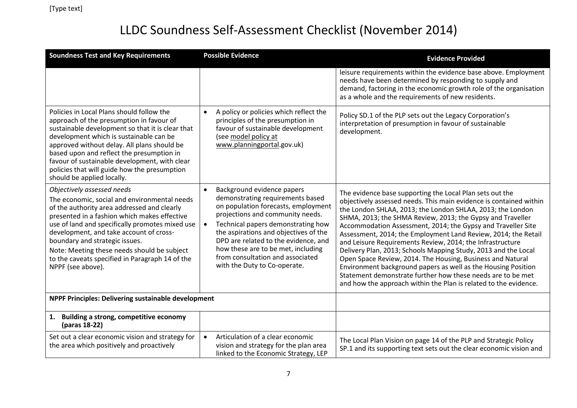| <b>Soundness Test and Key Requirements</b>                                                                                                                                                                                                                                                                                                                                                                                       | <b>Possible Evidence</b>                                                                                                                                                                                                                                                                                                                                                                             | <b>Evidence Provided</b>                                                                                                                                                                                                                                                                                                                                                                                                                                                                                                                                                                                                                                                                                                                                                                      |
|----------------------------------------------------------------------------------------------------------------------------------------------------------------------------------------------------------------------------------------------------------------------------------------------------------------------------------------------------------------------------------------------------------------------------------|------------------------------------------------------------------------------------------------------------------------------------------------------------------------------------------------------------------------------------------------------------------------------------------------------------------------------------------------------------------------------------------------------|-----------------------------------------------------------------------------------------------------------------------------------------------------------------------------------------------------------------------------------------------------------------------------------------------------------------------------------------------------------------------------------------------------------------------------------------------------------------------------------------------------------------------------------------------------------------------------------------------------------------------------------------------------------------------------------------------------------------------------------------------------------------------------------------------|
|                                                                                                                                                                                                                                                                                                                                                                                                                                  |                                                                                                                                                                                                                                                                                                                                                                                                      | leisure requirements within the evidence base above. Employment<br>needs have been determined by responding to supply and<br>demand, factoring in the economic growth role of the organisation<br>as a whole and the requirements of new residents.                                                                                                                                                                                                                                                                                                                                                                                                                                                                                                                                           |
| Policies in Local Plans should follow the<br>approach of the presumption in favour of<br>sustainable development so that it is clear that<br>development which is sustainable can be<br>approved without delay. All plans should be<br>based upon and reflect the presumption in<br>favour of sustainable development, with clear<br>policies that will guide how the presumption<br>should be applied locally.                  | A policy or policies which reflect the<br>principles of the presumption in<br>favour of sustainable development<br>(see model policy at<br>www.planningportal.gov.uk)                                                                                                                                                                                                                                | Policy SD.1 of the PLP sets out the Legacy Corporation's<br>interpretation of presumption in favour of sustainable<br>development.                                                                                                                                                                                                                                                                                                                                                                                                                                                                                                                                                                                                                                                            |
| Objectively assessed needs<br>The economic, social and environmental needs<br>of the authority area addressed and clearly<br>presented in a fashion which makes effective<br>use of land and specifically promotes mixed use<br>development, and take account of cross-<br>boundary and strategic issues.<br>Note: Meeting these needs should be subject<br>to the caveats specified in Paragraph 14 of the<br>NPPF (see above). | Background evidence papers<br>$\bullet$<br>demonstrating requirements based<br>on population forecasts, employment<br>projections and community needs.<br>Technical papers demonstrating how<br>$\bullet$<br>the aspirations and objectives of the<br>DPD are related to the evidence, and<br>how these are to be met, including<br>from consultation and associated<br>with the Duty to Co-operate. | The evidence base supporting the Local Plan sets out the<br>objectively assessed needs. This main evidence is contained within<br>the London SHLAA, 2013; the London SHLAA, 2013; the London<br>SHMA, 2013; the SHMA Review, 2013; the Gypsy and Traveller<br>Accommodation Assessment, 2014; the Gypsy and Traveller Site<br>Assessment, 2014; the Employment Land Review, 2014; the Retail<br>and Leisure Requirements Review, 2014; the Infrastructure<br>Delivery Plan, 2013; Schools Mapping Study, 2013 and the Local<br>Open Space Review, 2014. The Housing, Business and Natural<br>Environment background papers as well as the Housing Position<br>Statement demonstrate further how these needs are to be met<br>and how the approach within the Plan is related to the evidence. |
| NPPF Principles: Delivering sustainable development                                                                                                                                                                                                                                                                                                                                                                              |                                                                                                                                                                                                                                                                                                                                                                                                      |                                                                                                                                                                                                                                                                                                                                                                                                                                                                                                                                                                                                                                                                                                                                                                                               |
| Building a strong, competitive economy<br>1.<br>(paras 18-22)                                                                                                                                                                                                                                                                                                                                                                    |                                                                                                                                                                                                                                                                                                                                                                                                      |                                                                                                                                                                                                                                                                                                                                                                                                                                                                                                                                                                                                                                                                                                                                                                                               |
| Set out a clear economic vision and strategy for<br>the area which positively and proactively                                                                                                                                                                                                                                                                                                                                    | Articulation of a clear economic<br>$\bullet$<br>vision and strategy for the plan area<br>linked to the Economic Strategy, LEP                                                                                                                                                                                                                                                                       | The Local Plan Vision on page 14 of the PLP and Strategic Policy<br>SP.1 and its supporting text sets out the clear economic vision and                                                                                                                                                                                                                                                                                                                                                                                                                                                                                                                                                                                                                                                       |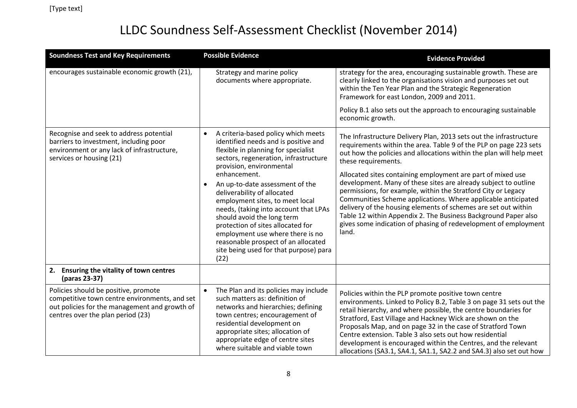| <b>Soundness Test and Key Requirements</b>                                                                                                                                  | <b>Possible Evidence</b>                                                                                                                                                                                                                                                                                                                                                                                                                                                                                                                                           | <b>Evidence Provided</b>                                                                                                                                                                                                                                                                                                                                                                                                                                                                                                                                                                                                                                                                                                  |
|-----------------------------------------------------------------------------------------------------------------------------------------------------------------------------|--------------------------------------------------------------------------------------------------------------------------------------------------------------------------------------------------------------------------------------------------------------------------------------------------------------------------------------------------------------------------------------------------------------------------------------------------------------------------------------------------------------------------------------------------------------------|---------------------------------------------------------------------------------------------------------------------------------------------------------------------------------------------------------------------------------------------------------------------------------------------------------------------------------------------------------------------------------------------------------------------------------------------------------------------------------------------------------------------------------------------------------------------------------------------------------------------------------------------------------------------------------------------------------------------------|
| encourages sustainable economic growth (21),                                                                                                                                | Strategy and marine policy<br>documents where appropriate.                                                                                                                                                                                                                                                                                                                                                                                                                                                                                                         | strategy for the area, encouraging sustainable growth. These are<br>clearly linked to the organisations vision and purposes set out<br>within the Ten Year Plan and the Strategic Regeneration<br>Framework for east London, 2009 and 2011.                                                                                                                                                                                                                                                                                                                                                                                                                                                                               |
|                                                                                                                                                                             |                                                                                                                                                                                                                                                                                                                                                                                                                                                                                                                                                                    | Policy B.1 also sets out the approach to encouraging sustainable<br>economic growth.                                                                                                                                                                                                                                                                                                                                                                                                                                                                                                                                                                                                                                      |
| Recognise and seek to address potential<br>barriers to investment, including poor<br>environment or any lack of infrastructure,<br>services or housing (21)                 | A criteria-based policy which meets<br>$\bullet$<br>identified needs and is positive and<br>flexible in planning for specialist<br>sectors, regeneration, infrastructure<br>provision, environmental<br>enhancement.<br>An up-to-date assessment of the<br>deliverability of allocated<br>employment sites, to meet local<br>needs, (taking into account that LPAs<br>should avoid the long term<br>protection of sites allocated for<br>employment use where there is no<br>reasonable prospect of an allocated<br>site being used for that purpose) para<br>(22) | The Infrastructure Delivery Plan, 2013 sets out the infrastructure<br>requirements within the area. Table 9 of the PLP on page 223 sets<br>out how the policies and allocations within the plan will help meet<br>these requirements.<br>Allocated sites containing employment are part of mixed use<br>development. Many of these sites are already subject to outline<br>permissions, for example, within the Stratford City or Legacy<br>Communities Scheme applications. Where applicable anticipated<br>delivery of the housing elements of schemes are set out within<br>Table 12 within Appendix 2. The Business Background Paper also<br>gives some indication of phasing of redevelopment of employment<br>land. |
| 2. Ensuring the vitality of town centres<br>(paras 23-37)                                                                                                                   |                                                                                                                                                                                                                                                                                                                                                                                                                                                                                                                                                                    |                                                                                                                                                                                                                                                                                                                                                                                                                                                                                                                                                                                                                                                                                                                           |
| Policies should be positive, promote<br>competitive town centre environments, and set<br>out policies for the management and growth of<br>centres over the plan period (23) | The Plan and its policies may include<br>$\bullet$<br>such matters as: definition of<br>networks and hierarchies; defining<br>town centres; encouragement of<br>residential development on<br>appropriate sites; allocation of<br>appropriate edge of centre sites<br>where suitable and viable town                                                                                                                                                                                                                                                               | Policies within the PLP promote positive town centre<br>environments. Linked to Policy B.2, Table 3 on page 31 sets out the<br>retail hierarchy, and where possible, the centre boundaries for<br>Stratford, East Village and Hackney Wick are shown on the<br>Proposals Map, and on page 32 in the case of Stratford Town<br>Centre extension. Table 3 also sets out how residential<br>development is encouraged within the Centres, and the relevant<br>allocations (SA3.1, SA4.1, SA1.1, SA2.2 and SA4.3) also set out how                                                                                                                                                                                            |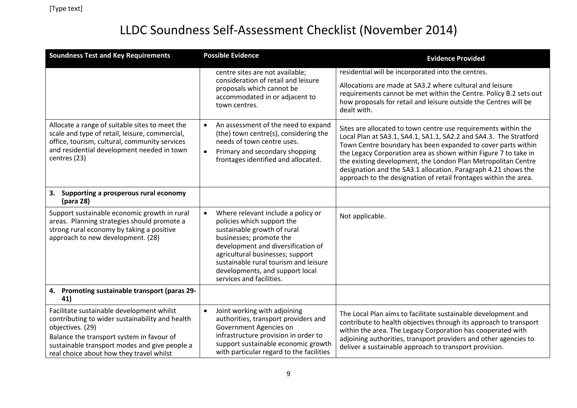| <b>Soundness Test and Key Requirements</b>                                                                                                                                                                                                                 | <b>Possible Evidence</b>                                                                                                                                                                                                                                                                                                  | <b>Evidence Provided</b>                                                                                                                                                                                                                                                                                                                                                                                                                                                      |
|------------------------------------------------------------------------------------------------------------------------------------------------------------------------------------------------------------------------------------------------------------|---------------------------------------------------------------------------------------------------------------------------------------------------------------------------------------------------------------------------------------------------------------------------------------------------------------------------|-------------------------------------------------------------------------------------------------------------------------------------------------------------------------------------------------------------------------------------------------------------------------------------------------------------------------------------------------------------------------------------------------------------------------------------------------------------------------------|
|                                                                                                                                                                                                                                                            | centre sites are not available;                                                                                                                                                                                                                                                                                           | residential will be incorporated into the centres.                                                                                                                                                                                                                                                                                                                                                                                                                            |
|                                                                                                                                                                                                                                                            | consideration of retail and leisure<br>proposals which cannot be<br>accommodated in or adjacent to<br>town centres.                                                                                                                                                                                                       | Allocations are made at SA3.2 where cultural and leisure<br>requirements cannot be met within the Centre. Policy B.2 sets out<br>how proposals for retail and leisure outside the Centres will be<br>dealt with.                                                                                                                                                                                                                                                              |
| Allocate a range of suitable sites to meet the<br>scale and type of retail, leisure, commercial,<br>office, tourism, cultural, community services<br>and residential development needed in town<br>centres (23)                                            | An assessment of the need to expand<br>$\bullet$<br>(the) town centre(s), considering the<br>needs of town centre uses.<br>$\bullet$<br>Primary and secondary shopping<br>frontages identified and allocated.                                                                                                             | Sites are allocated to town centre use requirements within the<br>Local Plan at SA3.1, SA4.1, SA1.1, SA2.2 and SA4.3. The Stratford<br>Town Centre boundary has been expanded to cover parts within<br>the Legacy Corporation area as shown within Figure 7 to take in<br>the existing development, the London Plan Metropolitan Centre<br>designation and the SA3.1 allocation. Paragraph 4.21 shows the<br>approach to the designation of retail frontages within the area. |
| 3.<br>Supporting a prosperous rural economy<br>(para 28)                                                                                                                                                                                                   |                                                                                                                                                                                                                                                                                                                           |                                                                                                                                                                                                                                                                                                                                                                                                                                                                               |
| Support sustainable economic growth in rural<br>areas. Planning strategies should promote a<br>strong rural economy by taking a positive<br>approach to new development. (28)                                                                              | $\bullet$<br>Where relevant include a policy or<br>policies which support the<br>sustainable growth of rural<br>businesses; promote the<br>development and diversification of<br>agricultural businesses; support<br>sustainable rural tourism and leisure<br>developments, and support local<br>services and facilities. | Not applicable.                                                                                                                                                                                                                                                                                                                                                                                                                                                               |
| Promoting sustainable transport (paras 29-<br>4.<br>41)                                                                                                                                                                                                    |                                                                                                                                                                                                                                                                                                                           |                                                                                                                                                                                                                                                                                                                                                                                                                                                                               |
| Facilitate sustainable development whilst<br>contributing to wider sustainability and health<br>objectives. (29)<br>Balance the transport system in favour of<br>sustainable transport modes and give people a<br>real choice about how they travel whilst | Joint working with adjoining<br>$\bullet$<br>authorities, transport providers and<br>Government Agencies on<br>infrastructure provision in order to<br>support sustainable economic growth<br>with particular regard to the facilities                                                                                    | The Local Plan aims to facilitate sustainable development and<br>contribute to health objectives through its approach to transport<br>within the area. The Legacy Corporation has cooperated with<br>adjoining authorities, transport providers and other agencies to<br>deliver a sustainable approach to transport provision.                                                                                                                                               |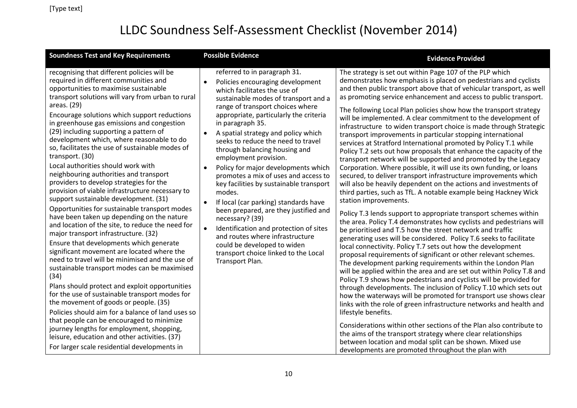| <b>Soundness Test and Key Requirements</b>                                                                                                                                                                                                                                                                                                                                                                                                                                                                                                                                                                                                                                                                                                                                                                                                                                                                                                                                                                                                                                                                                                                                                                                                                                                                                                                                                                                                                                      | <b>Possible Evidence</b>                                                                                                                                                                                                                                                                                                                                                                                                                                                                                                                                                                                                                                                                                                                                                                                                                 | <b>Evidence Provided</b>                                                                                                                                                                                                                                                                                                                                                                                                                                                                                                                                                                                                                                                                                                                                                                                                                                                                                                                                                                                                                                                                                                                                                                                                                                                                                                                                                                                                                                                                                                                                                                                                                                                                                                                                                                                                                                                                                                                                                                                                                                                                                                                                                                               |
|---------------------------------------------------------------------------------------------------------------------------------------------------------------------------------------------------------------------------------------------------------------------------------------------------------------------------------------------------------------------------------------------------------------------------------------------------------------------------------------------------------------------------------------------------------------------------------------------------------------------------------------------------------------------------------------------------------------------------------------------------------------------------------------------------------------------------------------------------------------------------------------------------------------------------------------------------------------------------------------------------------------------------------------------------------------------------------------------------------------------------------------------------------------------------------------------------------------------------------------------------------------------------------------------------------------------------------------------------------------------------------------------------------------------------------------------------------------------------------|------------------------------------------------------------------------------------------------------------------------------------------------------------------------------------------------------------------------------------------------------------------------------------------------------------------------------------------------------------------------------------------------------------------------------------------------------------------------------------------------------------------------------------------------------------------------------------------------------------------------------------------------------------------------------------------------------------------------------------------------------------------------------------------------------------------------------------------|--------------------------------------------------------------------------------------------------------------------------------------------------------------------------------------------------------------------------------------------------------------------------------------------------------------------------------------------------------------------------------------------------------------------------------------------------------------------------------------------------------------------------------------------------------------------------------------------------------------------------------------------------------------------------------------------------------------------------------------------------------------------------------------------------------------------------------------------------------------------------------------------------------------------------------------------------------------------------------------------------------------------------------------------------------------------------------------------------------------------------------------------------------------------------------------------------------------------------------------------------------------------------------------------------------------------------------------------------------------------------------------------------------------------------------------------------------------------------------------------------------------------------------------------------------------------------------------------------------------------------------------------------------------------------------------------------------------------------------------------------------------------------------------------------------------------------------------------------------------------------------------------------------------------------------------------------------------------------------------------------------------------------------------------------------------------------------------------------------------------------------------------------------------------------------------------------------|
| recognising that different policies will be<br>required in different communities and<br>opportunities to maximise sustainable<br>transport solutions will vary from urban to rural<br>areas. (29)<br>Encourage solutions which support reductions<br>in greenhouse gas emissions and congestion<br>(29) including supporting a pattern of<br>development which, where reasonable to do<br>so, facilitates the use of sustainable modes of<br>transport. (30)<br>Local authorities should work with<br>neighbouring authorities and transport<br>providers to develop strategies for the<br>provision of viable infrastructure necessary to<br>support sustainable development. (31)<br>Opportunities for sustainable transport modes<br>have been taken up depending on the nature<br>and location of the site, to reduce the need for<br>major transport infrastructure. (32)<br>Ensure that developments which generate<br>significant movement are located where the<br>need to travel will be minimised and the use of<br>sustainable transport modes can be maximised<br>(34)<br>Plans should protect and exploit opportunities<br>for the use of sustainable transport modes for<br>the movement of goods or people. (35)<br>Policies should aim for a balance of land uses so<br>that people can be encouraged to minimize<br>journey lengths for employment, shopping,<br>leisure, education and other activities. (37)<br>For larger scale residential developments in | referred to in paragraph 31.<br>Policies encouraging development<br>$\bullet$<br>which facilitates the use of<br>sustainable modes of transport and a<br>range of transport choices where<br>appropriate, particularly the criteria<br>in paragraph 35.<br>A spatial strategy and policy which<br>$\bullet$<br>seeks to reduce the need to travel<br>through balancing housing and<br>employment provision.<br>Policy for major developments which<br>promotes a mix of uses and access to<br>key facilities by sustainable transport<br>modes.<br>$\bullet$<br>If local (car parking) standards have<br>been prepared, are they justified and<br>necessary? (39)<br>Identification and protection of sites<br>and routes where infrastructure<br>could be developed to widen<br>transport choice linked to the Local<br>Transport Plan. | The strategy is set out within Page 107 of the PLP which<br>demonstrates how emphasis is placed on pedestrians and cyclists<br>and then public transport above that of vehicular transport, as well<br>as promoting service enhancement and access to public transport.<br>The following Local Plan policies show how the transport strategy<br>will be implemented. A clear commitment to the development of<br>infrastructure to widen transport choice is made through Strategic<br>transport improvements in particular stopping international<br>services at Stratford International promoted by Policy T.1 while<br>Policy T.2 sets out how proposals that enhance the capacity of the<br>transport network will be supported and promoted by the Legacy<br>Corporation. Where possible, it will use its own funding, or loans<br>secured, to deliver transport infrastructure improvements which<br>will also be heavily dependent on the actions and investments of<br>third parties, such as TfL. A notable example being Hackney Wick<br>station improvements.<br>Policy T.3 lends support to appropriate transport schemes within<br>the area. Policy T.4 demonstrates how cyclists and pedestrians will<br>be prioritised and T.5 how the street network and traffic<br>generating uses will be considered. Policy T.6 seeks to facilitate<br>local connectivity. Policy T.7 sets out how the development<br>proposal requirements of significant or other relevant schemes.<br>The development parking requirements within the London Plan<br>will be applied within the area and are set out within Policy T.8 and<br>Policy T.9 shows how pedestrians and cyclists will be provided for<br>through developments. The inclusion of Policy T.10 which sets out<br>how the waterways will be promoted for transport use shows clear<br>links with the role of green infrastructure networks and health and<br>lifestyle benefits.<br>Considerations within other sections of the Plan also contribute to<br>the aims of the transport strategy where clear relationships<br>between location and modal split can be shown. Mixed use<br>developments are promoted throughout the plan with |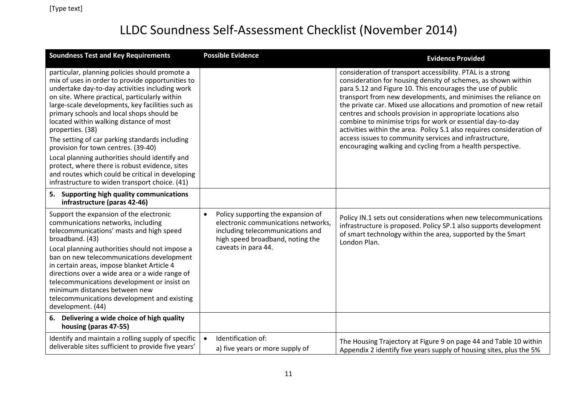| <b>Soundness Test and Key Requirements</b>                                                                                                                                                                                                                                                                                                                                                                                                                                                                                                                                                                                                                               | <b>Possible Evidence</b>                                                                                                                                                              | <b>Evidence Provided</b>                                                                                                                                                                                                                                                                                                                                                                                                                                                                                                                                                                                                                                         |
|--------------------------------------------------------------------------------------------------------------------------------------------------------------------------------------------------------------------------------------------------------------------------------------------------------------------------------------------------------------------------------------------------------------------------------------------------------------------------------------------------------------------------------------------------------------------------------------------------------------------------------------------------------------------------|---------------------------------------------------------------------------------------------------------------------------------------------------------------------------------------|------------------------------------------------------------------------------------------------------------------------------------------------------------------------------------------------------------------------------------------------------------------------------------------------------------------------------------------------------------------------------------------------------------------------------------------------------------------------------------------------------------------------------------------------------------------------------------------------------------------------------------------------------------------|
| particular, planning policies should promote a<br>mix of uses in order to provide opportunities to<br>undertake day-to-day activities including work<br>on site. Where practical, particularly within<br>large-scale developments, key facilities such as<br>primary schools and local shops should be<br>located within walking distance of most<br>properties. (38)<br>The setting of car parking standards including<br>provision for town centres. (39-40)<br>Local planning authorities should identify and<br>protect, where there is robust evidence, sites<br>and routes which could be critical in developing<br>infrastructure to widen transport choice. (41) |                                                                                                                                                                                       | consideration of transport accessibility. PTAL is a strong<br>consideration for housing density of schemes, as shown within<br>para 5.12 and Figure 10. This encourages the use of public<br>transport from new developments, and minimises the reliance on<br>the private car. Mixed use allocations and promotion of new retail<br>centres and schools provision in appropriate locations also<br>combine to minimise trips for work or essential day-to-day<br>activities within the area. Policy S.1 also requires consideration of<br>access issues to community services and infrastructure,<br>encouraging walking and cycling from a health perspective. |
| Supporting high quality communications<br>5.<br>infrastructure (paras 42-46)                                                                                                                                                                                                                                                                                                                                                                                                                                                                                                                                                                                             |                                                                                                                                                                                       |                                                                                                                                                                                                                                                                                                                                                                                                                                                                                                                                                                                                                                                                  |
| Support the expansion of the electronic<br>communications networks, including<br>telecommunications' masts and high speed<br>broadband. (43)<br>Local planning authorities should not impose a<br>ban on new telecommunications development<br>in certain areas, impose blanket Article 4<br>directions over a wide area or a wide range of<br>telecommunications development or insist on<br>minimum distances between new<br>telecommunications development and existing<br>development. (44)                                                                                                                                                                          | Policy supporting the expansion of<br>$\bullet$<br>electronic communications networks,<br>including telecommunications and<br>high speed broadband, noting the<br>caveats in para 44. | Policy IN.1 sets out considerations when new telecommunications<br>infrastructure is proposed. Policy SP.1 also supports development<br>of smart technology within the area, supported by the Smart<br>London Plan.                                                                                                                                                                                                                                                                                                                                                                                                                                              |
| 6. Delivering a wide choice of high quality<br>housing (paras 47-55)                                                                                                                                                                                                                                                                                                                                                                                                                                                                                                                                                                                                     |                                                                                                                                                                                       |                                                                                                                                                                                                                                                                                                                                                                                                                                                                                                                                                                                                                                                                  |
| Identify and maintain a rolling supply of specific<br>deliverable sites sufficient to provide five years'                                                                                                                                                                                                                                                                                                                                                                                                                                                                                                                                                                | Identification of:<br>$\bullet$<br>a) five years or more supply of                                                                                                                    | The Housing Trajectory at Figure 9 on page 44 and Table 10 within<br>Appendix 2 identify five years supply of housing sites, plus the 5%                                                                                                                                                                                                                                                                                                                                                                                                                                                                                                                         |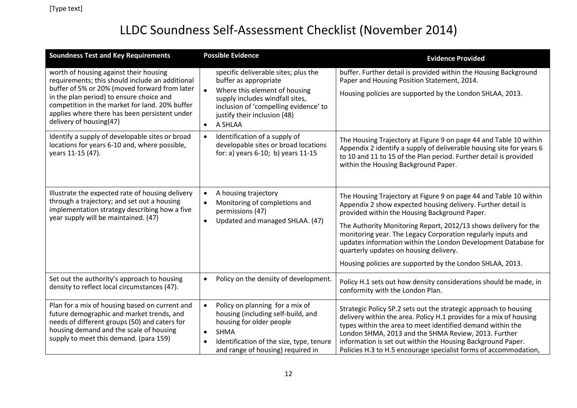| <b>Soundness Test and Key Requirements</b>                                                                                                                                                                                                        | <b>Possible Evidence</b>                                                                                                                                                                                       | <b>Evidence Provided</b>                                                                                                                                                                                                                                                                                                                                                                        |
|---------------------------------------------------------------------------------------------------------------------------------------------------------------------------------------------------------------------------------------------------|----------------------------------------------------------------------------------------------------------------------------------------------------------------------------------------------------------------|-------------------------------------------------------------------------------------------------------------------------------------------------------------------------------------------------------------------------------------------------------------------------------------------------------------------------------------------------------------------------------------------------|
| worth of housing against their housing<br>requirements; this should include an additional                                                                                                                                                         | specific deliverable sites; plus the<br>buffer as appropriate                                                                                                                                                  | buffer. Further detail is provided within the Housing Background<br>Paper and Housing Position Statement, 2014.                                                                                                                                                                                                                                                                                 |
| buffer of 5% or 20% (moved forward from later<br>in the plan period) to ensure choice and<br>competition in the market for land. 20% buffer<br>applies where there has been persistent under<br>delivery of housing(47)                           | Where this element of housing<br>supply includes windfall sites,<br>inclusion of 'compelling evidence' to<br>justify their inclusion (48)<br>A SHLAA<br>$\bullet$                                              | Housing policies are supported by the London SHLAA, 2013.                                                                                                                                                                                                                                                                                                                                       |
| Identify a supply of developable sites or broad<br>locations for years 6-10 and, where possible,<br>years 11-15 (47).                                                                                                                             | Identification of a supply of<br>$\bullet$<br>developable sites or broad locations<br>for: a) years 6-10; b) years 11-15                                                                                       | The Housing Trajectory at Figure 9 on page 44 and Table 10 within<br>Appendix 2 identify a supply of deliverable housing site for years 6<br>to 10 and 11 to 15 of the Plan period. Further detail is provided<br>within the Housing Background Paper.                                                                                                                                          |
| Illustrate the expected rate of housing delivery<br>A housing trajectory<br>through a trajectory; and set out a housing<br>$\bullet$<br>implementation strategy describing how a five<br>permissions (47)<br>year supply will be maintained. (47) | Monitoring of completions and                                                                                                                                                                                  | The Housing Trajectory at Figure 9 on page 44 and Table 10 within<br>Appendix 2 show expected housing delivery. Further detail is<br>provided within the Housing Background Paper.                                                                                                                                                                                                              |
|                                                                                                                                                                                                                                                   | Updated and managed SHLAA. (47)                                                                                                                                                                                | The Authority Monitoring Report, 2012/13 shows delivery for the<br>monitoring year. The Legacy Corporation regularly inputs and<br>updates information within the London Development Database for<br>quarterly updates on housing delivery.                                                                                                                                                     |
|                                                                                                                                                                                                                                                   |                                                                                                                                                                                                                | Housing policies are supported by the London SHLAA, 2013.                                                                                                                                                                                                                                                                                                                                       |
| Set out the authority's approach to housing<br>density to reflect local circumstances (47).                                                                                                                                                       | Policy on the density of development.                                                                                                                                                                          | Policy H.1 sets out how density considerations should be made, in<br>conformity with the London Plan.                                                                                                                                                                                                                                                                                           |
| Plan for a mix of housing based on current and<br>future demographic and market trends, and<br>needs of different groups (50) and caters for<br>housing demand and the scale of housing<br>supply to meet this demand. (para 159)                 | Policy on planning for a mix of<br>$\bullet$<br>housing (including self-build, and<br>housing for older people<br><b>SHMA</b><br>Identification of the size, type, tenure<br>and range of housing) required in | Strategic Policy SP.2 sets out the strategic approach to housing<br>delivery within the area. Policy H.1 provides for a mix of housing<br>types within the area to meet identified demand within the<br>London SHMA, 2013 and the SHMA Review, 2013. Further<br>information is set out within the Housing Background Paper.<br>Policies H.3 to H.5 encourage specialist forms of accommodation, |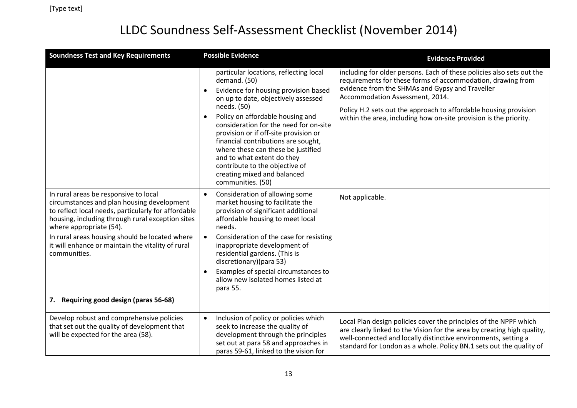| <b>Soundness Test and Key Requirements</b>                                                                                                                                                                                                                                                                                                       | <b>Possible Evidence</b>                                                                                                                                                                                                                                                                                                                                                                                                                                                                               | <b>Evidence Provided</b>                                                                                                                                                                                                                                                                                                                                            |
|--------------------------------------------------------------------------------------------------------------------------------------------------------------------------------------------------------------------------------------------------------------------------------------------------------------------------------------------------|--------------------------------------------------------------------------------------------------------------------------------------------------------------------------------------------------------------------------------------------------------------------------------------------------------------------------------------------------------------------------------------------------------------------------------------------------------------------------------------------------------|---------------------------------------------------------------------------------------------------------------------------------------------------------------------------------------------------------------------------------------------------------------------------------------------------------------------------------------------------------------------|
|                                                                                                                                                                                                                                                                                                                                                  | particular locations, reflecting local<br>demand. (50)<br>Evidence for housing provision based<br>$\bullet$<br>on up to date, objectively assessed<br>needs. (50)<br>Policy on affordable housing and<br>$\bullet$<br>consideration for the need for on-site<br>provision or if off-site provision or<br>financial contributions are sought,<br>where these can these be justified<br>and to what extent do they<br>contribute to the objective of<br>creating mixed and balanced<br>communities. (50) | including for older persons. Each of these policies also sets out the<br>requirements for these forms of accommodation, drawing from<br>evidence from the SHMAs and Gypsy and Traveller<br>Accommodation Assessment, 2014.<br>Policy H.2 sets out the approach to affordable housing provision<br>within the area, including how on-site provision is the priority. |
| In rural areas be responsive to local<br>circumstances and plan housing development<br>to reflect local needs, particularly for affordable<br>housing, including through rural exception sites<br>where appropriate (54).<br>In rural areas housing should be located where<br>it will enhance or maintain the vitality of rural<br>communities. | Consideration of allowing some<br>market housing to facilitate the<br>provision of significant additional<br>affordable housing to meet local<br>needs.<br>Consideration of the case for resisting<br>inappropriate development of<br>residential gardens. (This is<br>discretionary)(para 53)<br>Examples of special circumstances to<br>allow new isolated homes listed at<br>para 55.                                                                                                               | Not applicable.                                                                                                                                                                                                                                                                                                                                                     |
| Requiring good design (paras 56-68)<br>7.                                                                                                                                                                                                                                                                                                        |                                                                                                                                                                                                                                                                                                                                                                                                                                                                                                        |                                                                                                                                                                                                                                                                                                                                                                     |
| Develop robust and comprehensive policies<br>that set out the quality of development that<br>will be expected for the area (58).                                                                                                                                                                                                                 | Inclusion of policy or policies which<br>$\bullet$<br>seek to increase the quality of<br>development through the principles<br>set out at para 58 and approaches in<br>paras 59-61, linked to the vision for                                                                                                                                                                                                                                                                                           | Local Plan design policies cover the principles of the NPPF which<br>are clearly linked to the Vision for the area by creating high quality,<br>well-connected and locally distinctive environments, setting a<br>standard for London as a whole. Policy BN.1 sets out the quality of                                                                               |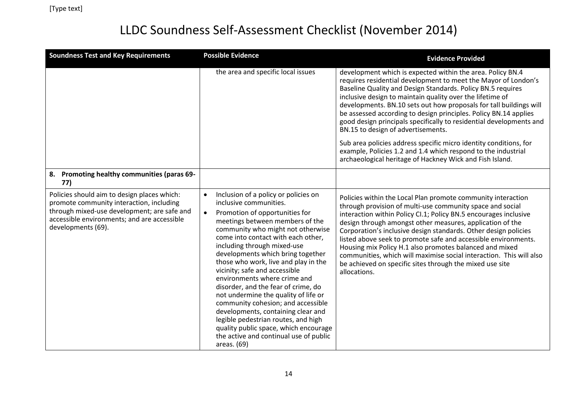| <b>Soundness Test and Key Requirements</b>                                                                                                                                                                  | <b>Possible Evidence</b>                                                                                                                                                                                                                                                                                                                                                                                                                                                                                                                                                                                                                                                                                                  | <b>Evidence Provided</b>                                                                                                                                                                                                                                                                                                                                                                                                                                                                                                                                                                                      |
|-------------------------------------------------------------------------------------------------------------------------------------------------------------------------------------------------------------|---------------------------------------------------------------------------------------------------------------------------------------------------------------------------------------------------------------------------------------------------------------------------------------------------------------------------------------------------------------------------------------------------------------------------------------------------------------------------------------------------------------------------------------------------------------------------------------------------------------------------------------------------------------------------------------------------------------------------|---------------------------------------------------------------------------------------------------------------------------------------------------------------------------------------------------------------------------------------------------------------------------------------------------------------------------------------------------------------------------------------------------------------------------------------------------------------------------------------------------------------------------------------------------------------------------------------------------------------|
|                                                                                                                                                                                                             | the area and specific local issues                                                                                                                                                                                                                                                                                                                                                                                                                                                                                                                                                                                                                                                                                        | development which is expected within the area. Policy BN.4<br>requires residential development to meet the Mayor of London's<br>Baseline Quality and Design Standards. Policy BN.5 requires<br>inclusive design to maintain quality over the lifetime of<br>developments. BN.10 sets out how proposals for tall buildings will<br>be assessed according to design principles. Policy BN.14 applies<br>good design principals specifically to residential developments and<br>BN.15 to design of advertisements.                                                                                               |
|                                                                                                                                                                                                             |                                                                                                                                                                                                                                                                                                                                                                                                                                                                                                                                                                                                                                                                                                                           | Sub area policies address specific micro identity conditions, for<br>example, Policies 1.2 and 1.4 which respond to the industrial<br>archaeological heritage of Hackney Wick and Fish Island.                                                                                                                                                                                                                                                                                                                                                                                                                |
| 8. Promoting healthy communities (paras 69-<br>77)                                                                                                                                                          |                                                                                                                                                                                                                                                                                                                                                                                                                                                                                                                                                                                                                                                                                                                           |                                                                                                                                                                                                                                                                                                                                                                                                                                                                                                                                                                                                               |
| Policies should aim to design places which:<br>promote community interaction, including<br>through mixed-use development; are safe and<br>accessible environments; and are accessible<br>developments (69). | Inclusion of a policy or policies on<br>$\bullet$<br>inclusive communities.<br>$\bullet$<br>Promotion of opportunities for<br>meetings between members of the<br>community who might not otherwise<br>come into contact with each other,<br>including through mixed-use<br>developments which bring together<br>those who work, live and play in the<br>vicinity; safe and accessible<br>environments where crime and<br>disorder, and the fear of crime, do<br>not undermine the quality of life or<br>community cohesion; and accessible<br>developments, containing clear and<br>legible pedestrian routes, and high<br>quality public space, which encourage<br>the active and continual use of public<br>areas. (69) | Policies within the Local Plan promote community interaction<br>through provision of multi-use community space and social<br>interaction within Policy Cl.1; Policy BN.5 encourages inclusive<br>design through amongst other measures, application of the<br>Corporation's inclusive design standards. Other design policies<br>listed above seek to promote safe and accessible environments.<br>Housing mix Policy H.1 also promotes balanced and mixed<br>communities, which will maximise social interaction. This will also<br>be achieved on specific sites through the mixed use site<br>allocations. |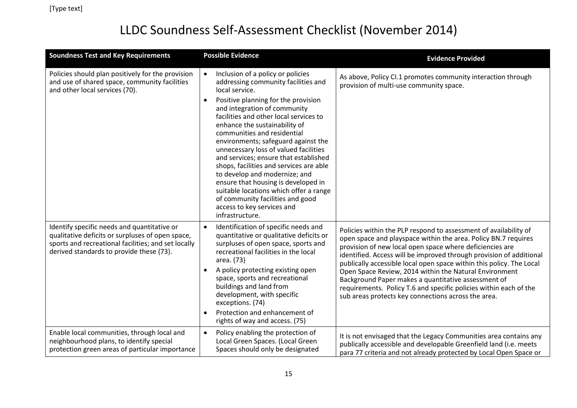| <b>Soundness Test and Key Requirements</b>                                                                                                                                                         | <b>Possible Evidence</b>                                                                                                                                                                                                                                                                                                                                                                                                                                                                                                                                                                                                                                                         | <b>Evidence Provided</b>                                                                                                                                                                                                                                                                                                                                                                                                                                                                                                                                                                   |
|----------------------------------------------------------------------------------------------------------------------------------------------------------------------------------------------------|----------------------------------------------------------------------------------------------------------------------------------------------------------------------------------------------------------------------------------------------------------------------------------------------------------------------------------------------------------------------------------------------------------------------------------------------------------------------------------------------------------------------------------------------------------------------------------------------------------------------------------------------------------------------------------|--------------------------------------------------------------------------------------------------------------------------------------------------------------------------------------------------------------------------------------------------------------------------------------------------------------------------------------------------------------------------------------------------------------------------------------------------------------------------------------------------------------------------------------------------------------------------------------------|
| Policies should plan positively for the provision<br>and use of shared space, community facilities<br>and other local services (70).                                                               | Inclusion of a policy or policies<br>$\bullet$<br>addressing community facilities and<br>local service.<br>Positive planning for the provision<br>$\bullet$<br>and integration of community<br>facilities and other local services to<br>enhance the sustainability of<br>communities and residential<br>environments; safeguard against the<br>unnecessary loss of valued facilities<br>and services; ensure that established<br>shops, facilities and services are able<br>to develop and modernize; and<br>ensure that housing is developed in<br>suitable locations which offer a range<br>of community facilities and good<br>access to key services and<br>infrastructure. | As above, Policy CI.1 promotes community interaction through<br>provision of multi-use community space.                                                                                                                                                                                                                                                                                                                                                                                                                                                                                    |
| Identify specific needs and quantitative or<br>qualitative deficits or surpluses of open space,<br>sports and recreational facilities; and set locally<br>derived standards to provide these (73). | Identification of specific needs and<br>$\bullet$<br>quantitative or qualitative deficits or<br>surpluses of open space, sports and<br>recreational facilities in the local<br>area. (73)<br>A policy protecting existing open<br>space, sports and recreational<br>buildings and land from<br>development, with specific<br>exceptions. (74)<br>Protection and enhancement of<br>rights of way and access. (75)                                                                                                                                                                                                                                                                 | Policies within the PLP respond to assessment of availability of<br>open space and playspace within the area. Policy BN.7 requires<br>provision of new local open space where deficiencies are<br>identified. Access will be improved through provision of additional<br>publically accessible local open space within this policy. The Local<br>Open Space Review, 2014 within the Natural Environment<br>Background Paper makes a quantitative assessment of<br>requirements. Policy T.6 and specific policies within each of the<br>sub areas protects key connections across the area. |
| Enable local communities, through local and<br>neighbourhood plans, to identify special<br>protection green areas of particular importance                                                         | Policy enabling the protection of<br>$\bullet$<br>Local Green Spaces. (Local Green<br>Spaces should only be designated                                                                                                                                                                                                                                                                                                                                                                                                                                                                                                                                                           | It is not envisaged that the Legacy Communities area contains any<br>publically accessible and developable Greenfield land (i.e. meets<br>para 77 criteria and not already protected by Local Open Space or                                                                                                                                                                                                                                                                                                                                                                                |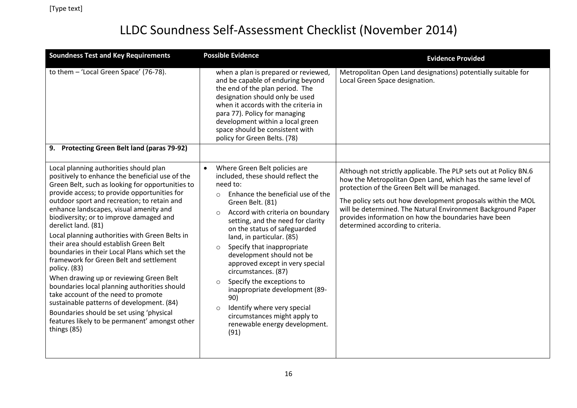| <b>Soundness Test and Key Requirements</b>                                                                                                                                                                                                                                                                                                                                                                                                                                                                                                                                                                                                                                                                                                                                                                                                                   | <b>Possible Evidence</b>                                                                                                                                                                                                                                                                                                                                                                                                                                                                                                                                                                                                                               | <b>Evidence Provided</b>                                                                                                                                                                                                                                                                                                                                                                                       |
|--------------------------------------------------------------------------------------------------------------------------------------------------------------------------------------------------------------------------------------------------------------------------------------------------------------------------------------------------------------------------------------------------------------------------------------------------------------------------------------------------------------------------------------------------------------------------------------------------------------------------------------------------------------------------------------------------------------------------------------------------------------------------------------------------------------------------------------------------------------|--------------------------------------------------------------------------------------------------------------------------------------------------------------------------------------------------------------------------------------------------------------------------------------------------------------------------------------------------------------------------------------------------------------------------------------------------------------------------------------------------------------------------------------------------------------------------------------------------------------------------------------------------------|----------------------------------------------------------------------------------------------------------------------------------------------------------------------------------------------------------------------------------------------------------------------------------------------------------------------------------------------------------------------------------------------------------------|
| to them - 'Local Green Space' (76-78).                                                                                                                                                                                                                                                                                                                                                                                                                                                                                                                                                                                                                                                                                                                                                                                                                       | when a plan is prepared or reviewed,<br>and be capable of enduring beyond<br>the end of the plan period. The<br>designation should only be used<br>when it accords with the criteria in<br>para 77). Policy for managing<br>development within a local green<br>space should be consistent with<br>policy for Green Belts. (78)                                                                                                                                                                                                                                                                                                                        | Metropolitan Open Land designations) potentially suitable for<br>Local Green Space designation.                                                                                                                                                                                                                                                                                                                |
| 9. Protecting Green Belt land (paras 79-92)                                                                                                                                                                                                                                                                                                                                                                                                                                                                                                                                                                                                                                                                                                                                                                                                                  |                                                                                                                                                                                                                                                                                                                                                                                                                                                                                                                                                                                                                                                        |                                                                                                                                                                                                                                                                                                                                                                                                                |
| Local planning authorities should plan<br>positively to enhance the beneficial use of the<br>Green Belt, such as looking for opportunities to<br>provide access; to provide opportunities for<br>outdoor sport and recreation; to retain and<br>enhance landscapes, visual amenity and<br>biodiversity; or to improve damaged and<br>derelict land. (81)<br>Local planning authorities with Green Belts in<br>their area should establish Green Belt<br>boundaries in their Local Plans which set the<br>framework for Green Belt and settlement<br>policy. (83)<br>When drawing up or reviewing Green Belt<br>boundaries local planning authorities should<br>take account of the need to promote<br>sustainable patterns of development. (84)<br>Boundaries should be set using 'physical<br>features likely to be permanent' amongst other<br>things (85) | Where Green Belt policies are<br>$\bullet$<br>included, these should reflect the<br>need to:<br>Enhance the beneficial use of the<br>$\circ$<br>Green Belt. (81)<br>Accord with criteria on boundary<br>$\circ$<br>setting, and the need for clarity<br>on the status of safeguarded<br>land, in particular. (85)<br>Specify that inappropriate<br>$\Omega$<br>development should not be<br>approved except in very special<br>circumstances. (87)<br>Specify the exceptions to<br>$\circ$<br>inappropriate development (89-<br>90)<br>Identify where very special<br>$\circ$<br>circumstances might apply to<br>renewable energy development.<br>(91) | Although not strictly applicable. The PLP sets out at Policy BN.6<br>how the Metropolitan Open Land, which has the same level of<br>protection of the Green Belt will be managed.<br>The policy sets out how development proposals within the MOL<br>will be determined. The Natural Environment Background Paper<br>provides information on how the boundaries have been<br>determined according to criteria. |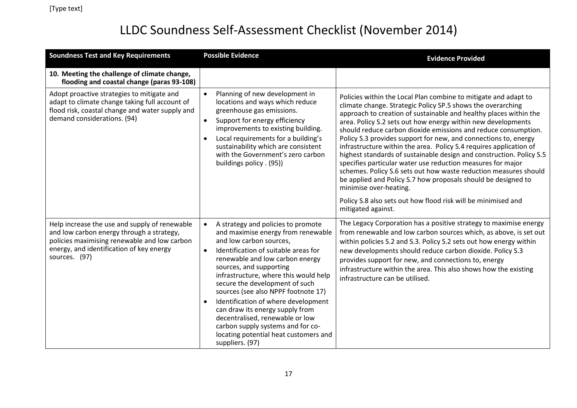| <b>Soundness Test and Key Requirements</b>                                                                                                                                                              | <b>Possible Evidence</b>                                                                                                                                                                                                                                                                                                                                                                                                                                                                                                                               | <b>Evidence Provided</b>                                                                                                                                                                                                                                                                                                                                                                                                                                                                                                                                                                                                                                                                                                                                                                                                                                                    |
|---------------------------------------------------------------------------------------------------------------------------------------------------------------------------------------------------------|--------------------------------------------------------------------------------------------------------------------------------------------------------------------------------------------------------------------------------------------------------------------------------------------------------------------------------------------------------------------------------------------------------------------------------------------------------------------------------------------------------------------------------------------------------|-----------------------------------------------------------------------------------------------------------------------------------------------------------------------------------------------------------------------------------------------------------------------------------------------------------------------------------------------------------------------------------------------------------------------------------------------------------------------------------------------------------------------------------------------------------------------------------------------------------------------------------------------------------------------------------------------------------------------------------------------------------------------------------------------------------------------------------------------------------------------------|
| 10. Meeting the challenge of climate change,<br>flooding and coastal change (paras 93-108)                                                                                                              |                                                                                                                                                                                                                                                                                                                                                                                                                                                                                                                                                        |                                                                                                                                                                                                                                                                                                                                                                                                                                                                                                                                                                                                                                                                                                                                                                                                                                                                             |
| Adopt proactive strategies to mitigate and<br>adapt to climate change taking full account of<br>flood risk, coastal change and water supply and<br>demand considerations. (94)                          | Planning of new development in<br>locations and ways which reduce<br>greenhouse gas emissions.<br>Support for energy efficiency<br>$\bullet$<br>improvements to existing building.<br>Local requirements for a building's<br>$\bullet$<br>sustainability which are consistent<br>with the Government's zero carbon<br>buildings policy . (95))                                                                                                                                                                                                         | Policies within the Local Plan combine to mitigate and adapt to<br>climate change. Strategic Policy SP.5 shows the overarching<br>approach to creation of sustainable and healthy places within the<br>area. Policy S.2 sets out how energy within new developments<br>should reduce carbon dioxide emissions and reduce consumption.<br>Policy S.3 provides support for new, and connections to, energy<br>infrastructure within the area. Policy S.4 requires application of<br>highest standards of sustainable design and construction. Policy S.5<br>specifies particular water use reduction measures for major<br>schemes. Policy S.6 sets out how waste reduction measures should<br>be applied and Policy S.7 how proposals should be designed to<br>minimise over-heating.<br>Policy S.8 also sets out how flood risk will be minimised and<br>mitigated against. |
| Help increase the use and supply of renewable<br>and low carbon energy through a strategy,<br>policies maximising renewable and low carbon<br>energy, and identification of key energy<br>sources. (97) | A strategy and policies to promote<br>and maximise energy from renewable<br>and low carbon sources,<br>Identification of suitable areas for<br>$\bullet$<br>renewable and low carbon energy<br>sources, and supporting<br>infrastructure, where this would help<br>secure the development of such<br>sources (see also NPPF footnote 17)<br>Identification of where development<br>can draw its energy supply from<br>decentralised, renewable or low<br>carbon supply systems and for co-<br>locating potential heat customers and<br>suppliers. (97) | The Legacy Corporation has a positive strategy to maximise energy<br>from renewable and low carbon sources which, as above, is set out<br>within policies S.2 and S.3. Policy S.2 sets out how energy within<br>new developments should reduce carbon dioxide. Policy S.3<br>provides support for new, and connections to, energy<br>infrastructure within the area. This also shows how the existing<br>infrastructure can be utilised.                                                                                                                                                                                                                                                                                                                                                                                                                                    |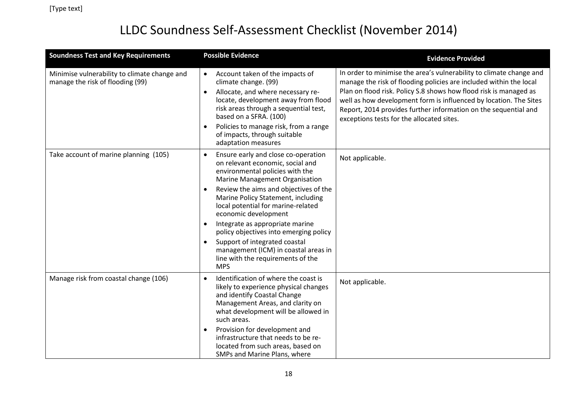| <b>Soundness Test and Key Requirements</b>                                       | <b>Possible Evidence</b>                                                                                                                                                                                                                                                                                                                                                                                                                                                                                                                               | <b>Evidence Provided</b>                                                                                                                                                                                                                                                                                                                                                                            |
|----------------------------------------------------------------------------------|--------------------------------------------------------------------------------------------------------------------------------------------------------------------------------------------------------------------------------------------------------------------------------------------------------------------------------------------------------------------------------------------------------------------------------------------------------------------------------------------------------------------------------------------------------|-----------------------------------------------------------------------------------------------------------------------------------------------------------------------------------------------------------------------------------------------------------------------------------------------------------------------------------------------------------------------------------------------------|
| Minimise vulnerability to climate change and<br>manage the risk of flooding (99) | Account taken of the impacts of<br>$\bullet$<br>climate change. (99)<br>Allocate, and where necessary re-<br>$\bullet$<br>locate, development away from flood<br>risk areas through a sequential test,<br>based on a SFRA. (100)<br>Policies to manage risk, from a range<br>$\bullet$<br>of impacts, through suitable<br>adaptation measures                                                                                                                                                                                                          | In order to minimise the area's vulnerability to climate change and<br>manage the risk of flooding policies are included within the local<br>Plan on flood risk. Policy S.8 shows how flood risk is managed as<br>well as how development form is influenced by location. The Sites<br>Report, 2014 provides further information on the sequential and<br>exceptions tests for the allocated sites. |
| Take account of marine planning (105)                                            | Ensure early and close co-operation<br>$\bullet$<br>on relevant economic, social and<br>environmental policies with the<br>Marine Management Organisation<br>Review the aims and objectives of the<br>$\bullet$<br>Marine Policy Statement, including<br>local potential for marine-related<br>economic development<br>Integrate as appropriate marine<br>$\bullet$<br>policy objectives into emerging policy<br>Support of integrated coastal<br>$\bullet$<br>management (ICM) in coastal areas in<br>line with the requirements of the<br><b>MPS</b> | Not applicable.                                                                                                                                                                                                                                                                                                                                                                                     |
| Manage risk from coastal change (106)                                            | Identification of where the coast is<br>$\bullet$<br>likely to experience physical changes<br>and identify Coastal Change<br>Management Areas, and clarity on<br>what development will be allowed in<br>such areas.<br>Provision for development and<br>infrastructure that needs to be re-<br>located from such areas, based on<br>SMPs and Marine Plans, where                                                                                                                                                                                       | Not applicable.                                                                                                                                                                                                                                                                                                                                                                                     |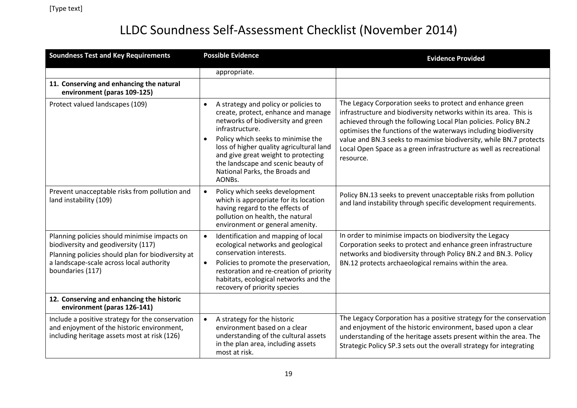| <b>Soundness Test and Key Requirements</b>                                                                                                                                                               | <b>Possible Evidence</b>                                                                                                                                                                                                                                                                                                                                                  | <b>Evidence Provided</b>                                                                                                                                                                                                                                                                                                                                                                                                      |
|----------------------------------------------------------------------------------------------------------------------------------------------------------------------------------------------------------|---------------------------------------------------------------------------------------------------------------------------------------------------------------------------------------------------------------------------------------------------------------------------------------------------------------------------------------------------------------------------|-------------------------------------------------------------------------------------------------------------------------------------------------------------------------------------------------------------------------------------------------------------------------------------------------------------------------------------------------------------------------------------------------------------------------------|
|                                                                                                                                                                                                          | appropriate.                                                                                                                                                                                                                                                                                                                                                              |                                                                                                                                                                                                                                                                                                                                                                                                                               |
| 11. Conserving and enhancing the natural<br>environment (paras 109-125)                                                                                                                                  |                                                                                                                                                                                                                                                                                                                                                                           |                                                                                                                                                                                                                                                                                                                                                                                                                               |
| Protect valued landscapes (109)                                                                                                                                                                          | A strategy and policy or policies to<br>$\bullet$<br>create, protect, enhance and manage<br>networks of biodiversity and green<br>infrastructure.<br>Policy which seeks to minimise the<br>$\bullet$<br>loss of higher quality agricultural land<br>and give great weight to protecting<br>the landscape and scenic beauty of<br>National Parks, the Broads and<br>AONBs. | The Legacy Corporation seeks to protect and enhance green<br>infrastructure and biodiversity networks within its area. This is<br>achieved through the following Local Plan policies. Policy BN.2<br>optimises the functions of the waterways including biodiversity<br>value and BN.3 seeks to maximise biodiversity, while BN.7 protects<br>Local Open Space as a green infrastructure as well as recreational<br>resource. |
| Prevent unacceptable risks from pollution and<br>land instability (109)                                                                                                                                  | Policy which seeks development<br>$\bullet$<br>which is appropriate for its location<br>having regard to the effects of<br>pollution on health, the natural<br>environment or general amenity.                                                                                                                                                                            | Policy BN.13 seeks to prevent unacceptable risks from pollution<br>and land instability through specific development requirements.                                                                                                                                                                                                                                                                                            |
| Planning policies should minimise impacts on<br>biodiversity and geodiversity (117)<br>Planning policies should plan for biodiversity at<br>a landscape-scale across local authority<br>boundaries (117) | Identification and mapping of local<br>ecological networks and geological<br>conservation interests.<br>Policies to promote the preservation,<br>$\bullet$<br>restoration and re-creation of priority<br>habitats, ecological networks and the<br>recovery of priority species                                                                                            | In order to minimise impacts on biodiversity the Legacy<br>Corporation seeks to protect and enhance green infrastructure<br>networks and biodiversity through Policy BN.2 and BN.3. Policy<br>BN.12 protects archaeological remains within the area.                                                                                                                                                                          |
| 12. Conserving and enhancing the historic<br>environment (paras 126-141)                                                                                                                                 |                                                                                                                                                                                                                                                                                                                                                                           |                                                                                                                                                                                                                                                                                                                                                                                                                               |
| Include a positive strategy for the conservation<br>and enjoyment of the historic environment,<br>including heritage assets most at risk (126)                                                           | A strategy for the historic<br>$\bullet$<br>environment based on a clear<br>understanding of the cultural assets<br>in the plan area, including assets<br>most at risk.                                                                                                                                                                                                   | The Legacy Corporation has a positive strategy for the conservation<br>and enjoyment of the historic environment, based upon a clear<br>understanding of the heritage assets present within the area. The<br>Strategic Policy SP.3 sets out the overall strategy for integrating                                                                                                                                              |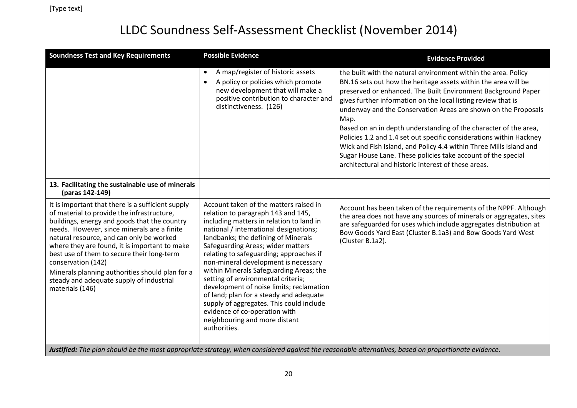| <b>Soundness Test and Key Requirements</b>                                                                                                                                                                                                                                                                                                                                                                                                                                        | <b>Possible Evidence</b>                                                                                                                                                                                                                                                                                                                                                                                                                                                                                                                                                                                                                | <b>Evidence Provided</b>                                                                                                                                                                                                                                                                                                                                                                                                                                                                                                                                                                                                                                                             |
|-----------------------------------------------------------------------------------------------------------------------------------------------------------------------------------------------------------------------------------------------------------------------------------------------------------------------------------------------------------------------------------------------------------------------------------------------------------------------------------|-----------------------------------------------------------------------------------------------------------------------------------------------------------------------------------------------------------------------------------------------------------------------------------------------------------------------------------------------------------------------------------------------------------------------------------------------------------------------------------------------------------------------------------------------------------------------------------------------------------------------------------------|--------------------------------------------------------------------------------------------------------------------------------------------------------------------------------------------------------------------------------------------------------------------------------------------------------------------------------------------------------------------------------------------------------------------------------------------------------------------------------------------------------------------------------------------------------------------------------------------------------------------------------------------------------------------------------------|
|                                                                                                                                                                                                                                                                                                                                                                                                                                                                                   | A map/register of historic assets<br>$\bullet$<br>A policy or policies which promote<br>$\bullet$<br>new development that will make a<br>positive contribution to character and<br>distinctiveness. (126)                                                                                                                                                                                                                                                                                                                                                                                                                               | the built with the natural environment within the area. Policy<br>BN.16 sets out how the heritage assets within the area will be<br>preserved or enhanced. The Built Environment Background Paper<br>gives further information on the local listing review that is<br>underway and the Conservation Areas are shown on the Proposals<br>Map.<br>Based on an in depth understanding of the character of the area,<br>Policies 1.2 and 1.4 set out specific considerations within Hackney<br>Wick and Fish Island, and Policy 4.4 within Three Mills Island and<br>Sugar House Lane. These policies take account of the special<br>architectural and historic interest of these areas. |
| 13. Facilitating the sustainable use of minerals<br>(paras 142-149)                                                                                                                                                                                                                                                                                                                                                                                                               |                                                                                                                                                                                                                                                                                                                                                                                                                                                                                                                                                                                                                                         |                                                                                                                                                                                                                                                                                                                                                                                                                                                                                                                                                                                                                                                                                      |
| It is important that there is a sufficient supply<br>of material to provide the infrastructure,<br>buildings, energy and goods that the country<br>needs. However, since minerals are a finite<br>natural resource, and can only be worked<br>where they are found, it is important to make<br>best use of them to secure their long-term<br>conservation (142)<br>Minerals planning authorities should plan for a<br>steady and adequate supply of industrial<br>materials (146) | Account taken of the matters raised in<br>relation to paragraph 143 and 145,<br>including matters in relation to land in<br>national / international designations;<br>landbanks; the defining of Minerals<br>Safeguarding Areas; wider matters<br>relating to safeguarding; approaches if<br>non-mineral development is necessary<br>within Minerals Safeguarding Areas; the<br>setting of environmental criteria;<br>development of noise limits; reclamation<br>of land; plan for a steady and adequate<br>supply of aggregates. This could include<br>evidence of co-operation with<br>neighbouring and more distant<br>authorities. | Account has been taken of the requirements of the NPPF. Although<br>the area does not have any sources of minerals or aggregates, sites<br>are safeguarded for uses which include aggregates distribution at<br>Bow Goods Yard East (Cluster B.1a3) and Bow Goods Yard West<br>(Cluster B.1a2).                                                                                                                                                                                                                                                                                                                                                                                      |
| Justified: The plan should be the most appropriate strategy, when considered against the reasonable alternatives, based on proportionate evidence.                                                                                                                                                                                                                                                                                                                                |                                                                                                                                                                                                                                                                                                                                                                                                                                                                                                                                                                                                                                         |                                                                                                                                                                                                                                                                                                                                                                                                                                                                                                                                                                                                                                                                                      |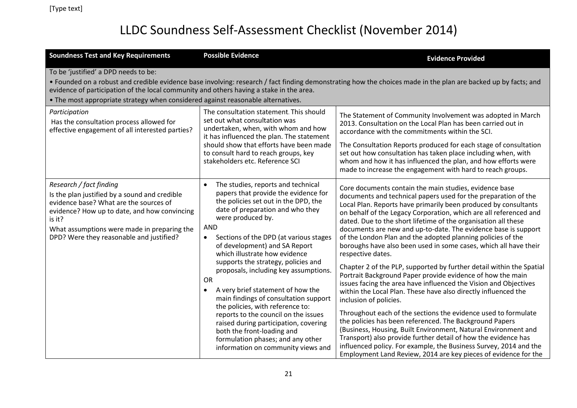| <b>Soundness Test and Key Requirements</b>                                                                                                                                                                                                                                                                                                                                            | <b>Possible Evidence</b>                                                                                                                                                                                                                                                                                                                                                                                                                                                                                                                                                                                                                                                                                                          | <b>Evidence Provided</b>                                                                                                                                                                                                                                                                                                                                                                                                                                                                                                                                                                                                                                                                                                                                                                                                                                                                                                                                                                                                                                                                                                                                                                                                                                                    |  |
|---------------------------------------------------------------------------------------------------------------------------------------------------------------------------------------------------------------------------------------------------------------------------------------------------------------------------------------------------------------------------------------|-----------------------------------------------------------------------------------------------------------------------------------------------------------------------------------------------------------------------------------------------------------------------------------------------------------------------------------------------------------------------------------------------------------------------------------------------------------------------------------------------------------------------------------------------------------------------------------------------------------------------------------------------------------------------------------------------------------------------------------|-----------------------------------------------------------------------------------------------------------------------------------------------------------------------------------------------------------------------------------------------------------------------------------------------------------------------------------------------------------------------------------------------------------------------------------------------------------------------------------------------------------------------------------------------------------------------------------------------------------------------------------------------------------------------------------------------------------------------------------------------------------------------------------------------------------------------------------------------------------------------------------------------------------------------------------------------------------------------------------------------------------------------------------------------------------------------------------------------------------------------------------------------------------------------------------------------------------------------------------------------------------------------------|--|
| To be 'justified' a DPD needs to be:<br>• Founded on a robust and credible evidence base involving: research / fact finding demonstrating how the choices made in the plan are backed up by facts; and<br>evidence of participation of the local community and others having a stake in the area.<br>• The most appropriate strategy when considered against reasonable alternatives. |                                                                                                                                                                                                                                                                                                                                                                                                                                                                                                                                                                                                                                                                                                                                   |                                                                                                                                                                                                                                                                                                                                                                                                                                                                                                                                                                                                                                                                                                                                                                                                                                                                                                                                                                                                                                                                                                                                                                                                                                                                             |  |
| Participation<br>Has the consultation process allowed for<br>effective engagement of all interested parties?                                                                                                                                                                                                                                                                          | The consultation statement. This should<br>set out what consultation was<br>undertaken, when, with whom and how<br>it has influenced the plan. The statement<br>should show that efforts have been made<br>to consult hard to reach groups, key<br>stakeholders etc. Reference SCI                                                                                                                                                                                                                                                                                                                                                                                                                                                | The Statement of Community Involvement was adopted in March<br>2013. Consultation on the Local Plan has been carried out in<br>accordance with the commitments within the SCI.<br>The Consultation Reports produced for each stage of consultation<br>set out how consultation has taken place including when, with<br>whom and how it has influenced the plan, and how efforts were<br>made to increase the engagement with hard to reach groups.                                                                                                                                                                                                                                                                                                                                                                                                                                                                                                                                                                                                                                                                                                                                                                                                                          |  |
| Research / fact finding<br>Is the plan justified by a sound and credible<br>evidence base? What are the sources of<br>evidence? How up to date, and how convincing<br>is it?<br>What assumptions were made in preparing the<br>DPD? Were they reasonable and justified?                                                                                                               | The studies, reports and technical<br>$\bullet$<br>papers that provide the evidence for<br>the policies set out in the DPD, the<br>date of preparation and who they<br>were produced by.<br><b>AND</b><br>Sections of the DPD (at various stages<br>$\bullet$<br>of development) and SA Report<br>which illustrate how evidence<br>supports the strategy, policies and<br>proposals, including key assumptions.<br>OR<br>A very brief statement of how the<br>main findings of consultation support<br>the policies, with reference to:<br>reports to the council on the issues<br>raised during participation, covering<br>both the front-loading and<br>formulation phases; and any other<br>information on community views and | Core documents contain the main studies, evidence base<br>documents and technical papers used for the preparation of the<br>Local Plan. Reports have primarily been produced by consultants<br>on behalf of the Legacy Corporation, which are all referenced and<br>dated. Due to the short lifetime of the organisation all these<br>documents are new and up-to-date. The evidence base is support<br>of the London Plan and the adopted planning policies of the<br>boroughs have also been used in some cases, which all have their<br>respective dates.<br>Chapter 2 of the PLP, supported by further detail within the Spatial<br>Portrait Background Paper provide evidence of how the main<br>issues facing the area have influenced the Vision and Objectives<br>within the Local Plan. These have also directly influenced the<br>inclusion of policies.<br>Throughout each of the sections the evidence used to formulate<br>the policies has been referenced. The Background Papers<br>(Business, Housing, Built Environment, Natural Environment and<br>Transport) also provide further detail of how the evidence has<br>influenced policy. For example, the Business Survey, 2014 and the<br>Employment Land Review, 2014 are key pieces of evidence for the |  |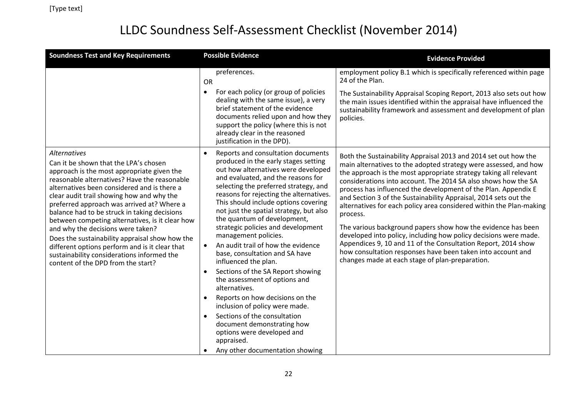| preferences.<br>24 of the Plan.<br>OR<br>For each policy (or group of policies<br>$\bullet$<br>dealing with the same issue), a very<br>brief statement of the evidence<br>documents relied upon and how they<br>policies.<br>support the policy (where this is not<br>already clear in the reasoned<br>justification in the DPD).<br><b>Alternatives</b><br>Reports and consultation documents<br>Both the Sustainability Appraisal 2013 and 2014 set out how the<br>produced in the early stages setting<br>Can it be shown that the LPA's chosen<br>out how alternatives were developed<br>approach is the most appropriate given the<br>and evaluated, and the reasons for<br>reasonable alternatives? Have the reasonable<br>selecting the preferred strategy, and<br>alternatives been considered and is there a<br>process has influenced the development of the Plan. Appendix E<br>reasons for rejecting the alternatives.<br>clear audit trail showing how and why the<br>and Section 3 of the Sustainability Appraisal, 2014 sets out the<br>This should include options covering<br>preferred approach was arrived at? Where a<br>not just the spatial strategy, but also<br>balance had to be struck in taking decisions<br>process.<br>the quantum of development,<br>between competing alternatives, is it clear how<br>strategic policies and development<br>and why the decisions were taken?<br>management policies.<br>Does the sustainability appraisal show how the<br>Appendices 9, 10 and 11 of the Consultation Report, 2014 show<br>An audit trail of how the evidence<br>$\bullet$<br>different options perform and is it clear that<br>how consultation responses have been taken into account and<br>base, consultation and SA have<br>sustainability considerations informed the<br>changes made at each stage of plan-preparation.<br>influenced the plan.<br>content of the DPD from the start?<br>Sections of the SA Report showing<br>the assessment of options and<br>alternatives.<br>Reports on how decisions on the<br>$\bullet$<br>inclusion of policy were made.<br>Sections of the consultation<br>$\bullet$<br>document demonstrating how<br>options were developed and | <b>Soundness Test and Key Requirements</b> | <b>Possible Evidence</b> | <b>Evidence Provided</b>                                                                                                                                                                                                                                                                                                                                                                                           |
|-----------------------------------------------------------------------------------------------------------------------------------------------------------------------------------------------------------------------------------------------------------------------------------------------------------------------------------------------------------------------------------------------------------------------------------------------------------------------------------------------------------------------------------------------------------------------------------------------------------------------------------------------------------------------------------------------------------------------------------------------------------------------------------------------------------------------------------------------------------------------------------------------------------------------------------------------------------------------------------------------------------------------------------------------------------------------------------------------------------------------------------------------------------------------------------------------------------------------------------------------------------------------------------------------------------------------------------------------------------------------------------------------------------------------------------------------------------------------------------------------------------------------------------------------------------------------------------------------------------------------------------------------------------------------------------------------------------------------------------------------------------------------------------------------------------------------------------------------------------------------------------------------------------------------------------------------------------------------------------------------------------------------------------------------------------------------------------------------------------------------------------------------------------------------------------------------------------------|--------------------------------------------|--------------------------|--------------------------------------------------------------------------------------------------------------------------------------------------------------------------------------------------------------------------------------------------------------------------------------------------------------------------------------------------------------------------------------------------------------------|
|                                                                                                                                                                                                                                                                                                                                                                                                                                                                                                                                                                                                                                                                                                                                                                                                                                                                                                                                                                                                                                                                                                                                                                                                                                                                                                                                                                                                                                                                                                                                                                                                                                                                                                                                                                                                                                                                                                                                                                                                                                                                                                                                                                                                                 |                                            |                          | employment policy B.1 which is specifically referenced within page<br>The Sustainability Appraisal Scoping Report, 2013 also sets out how                                                                                                                                                                                                                                                                          |
|                                                                                                                                                                                                                                                                                                                                                                                                                                                                                                                                                                                                                                                                                                                                                                                                                                                                                                                                                                                                                                                                                                                                                                                                                                                                                                                                                                                                                                                                                                                                                                                                                                                                                                                                                                                                                                                                                                                                                                                                                                                                                                                                                                                                                 |                                            |                          | the main issues identified within the appraisal have influenced the<br>sustainability framework and assessment and development of plan                                                                                                                                                                                                                                                                             |
| Any other documentation showing                                                                                                                                                                                                                                                                                                                                                                                                                                                                                                                                                                                                                                                                                                                                                                                                                                                                                                                                                                                                                                                                                                                                                                                                                                                                                                                                                                                                                                                                                                                                                                                                                                                                                                                                                                                                                                                                                                                                                                                                                                                                                                                                                                                 |                                            | appraised.               | main alternatives to the adopted strategy were assessed, and how<br>the approach is the most appropriate strategy taking all relevant<br>considerations into account. The 2014 SA also shows how the SA<br>alternatives for each policy area considered within the Plan-making<br>The various background papers show how the evidence has been<br>developed into policy, including how policy decisions were made. |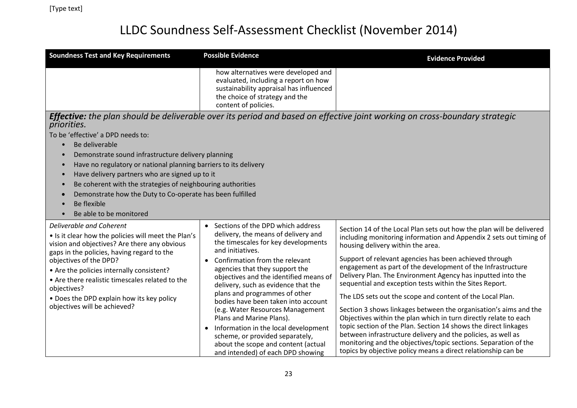| <b>Soundness Test and Key Requirements</b>                                                                                                                                                                                                                                                                                                                                                                                                                                                         | <b>Possible Evidence</b>                                                                                                                                                                                                                                                                                                                                                                                                                                                                                                                                                                             | <b>Evidence Provided</b>                                                                                                                                                                                                                                                                                                                                                                                                                                                                                                                                                                                                                                                                                                                                                                                                                                                                                       |
|----------------------------------------------------------------------------------------------------------------------------------------------------------------------------------------------------------------------------------------------------------------------------------------------------------------------------------------------------------------------------------------------------------------------------------------------------------------------------------------------------|------------------------------------------------------------------------------------------------------------------------------------------------------------------------------------------------------------------------------------------------------------------------------------------------------------------------------------------------------------------------------------------------------------------------------------------------------------------------------------------------------------------------------------------------------------------------------------------------------|----------------------------------------------------------------------------------------------------------------------------------------------------------------------------------------------------------------------------------------------------------------------------------------------------------------------------------------------------------------------------------------------------------------------------------------------------------------------------------------------------------------------------------------------------------------------------------------------------------------------------------------------------------------------------------------------------------------------------------------------------------------------------------------------------------------------------------------------------------------------------------------------------------------|
|                                                                                                                                                                                                                                                                                                                                                                                                                                                                                                    | how alternatives were developed and<br>evaluated, including a report on how<br>sustainability appraisal has influenced<br>the choice of strategy and the<br>content of policies.                                                                                                                                                                                                                                                                                                                                                                                                                     |                                                                                                                                                                                                                                                                                                                                                                                                                                                                                                                                                                                                                                                                                                                                                                                                                                                                                                                |
| priorities.<br>To be 'effective' a DPD needs to:<br>Be deliverable<br>Demonstrate sound infrastructure delivery planning<br>$\bullet$<br>Have no regulatory or national planning barriers to its delivery<br>$\bullet$<br>Have delivery partners who are signed up to it<br>$\bullet$<br>Be coherent with the strategies of neighbouring authorities<br>$\bullet$<br>Demonstrate how the Duty to Co-operate has been fulfilled<br>$\bullet$<br>Be flexible<br>$\bullet$<br>Be able to be monitored |                                                                                                                                                                                                                                                                                                                                                                                                                                                                                                                                                                                                      | <b>Effective:</b> the plan should be deliverable over its period and based on effective joint working on cross-boundary strategic                                                                                                                                                                                                                                                                                                                                                                                                                                                                                                                                                                                                                                                                                                                                                                              |
| Deliverable and Coherent<br>. Is it clear how the policies will meet the Plan's<br>vision and objectives? Are there any obvious<br>gaps in the policies, having regard to the<br>objectives of the DPD?<br>• Are the policies internally consistent?<br>• Are there realistic timescales related to the<br>objectives?<br>• Does the DPD explain how its key policy<br>objectives will be achieved?                                                                                                | Sections of the DPD which address<br>$\bullet$<br>delivery, the means of delivery and<br>the timescales for key developments<br>and initiatives.<br>Confirmation from the relevant<br>agencies that they support the<br>objectives and the identified means of<br>delivery, such as evidence that the<br>plans and programmes of other<br>bodies have been taken into account<br>(e.g. Water Resources Management<br>Plans and Marine Plans).<br>Information in the local development<br>scheme, or provided separately,<br>about the scope and content (actual<br>and intended) of each DPD showing | Section 14 of the Local Plan sets out how the plan will be delivered<br>including monitoring information and Appendix 2 sets out timing of<br>housing delivery within the area.<br>Support of relevant agencies has been achieved through<br>engagement as part of the development of the Infrastructure<br>Delivery Plan. The Environment Agency has inputted into the<br>sequential and exception tests within the Sites Report.<br>The LDS sets out the scope and content of the Local Plan.<br>Section 3 shows linkages between the organisation's aims and the<br>Objectives within the plan which in turn directly relate to each<br>topic section of the Plan. Section 14 shows the direct linkages<br>between infrastructure delivery and the policies, as well as<br>monitoring and the objectives/topic sections. Separation of the<br>topics by objective policy means a direct relationship can be |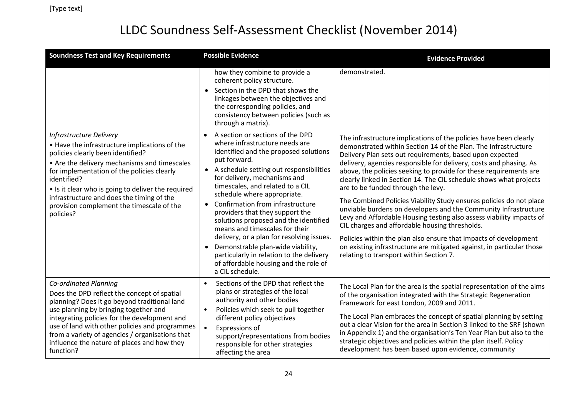| <b>Soundness Test and Key Requirements</b>                                                                                                                                                                                                                                                                                                                                              | <b>Possible Evidence</b>                                                                                                                                                                                                                                                                                                                                                                                                                                                                                                                                                                                                  | <b>Evidence Provided</b>                                                                                                                                                                                                                                                                                                                                                                                                                                                                                                                                                                                                                                                                                                                                                                                                                                                                                           |
|-----------------------------------------------------------------------------------------------------------------------------------------------------------------------------------------------------------------------------------------------------------------------------------------------------------------------------------------------------------------------------------------|---------------------------------------------------------------------------------------------------------------------------------------------------------------------------------------------------------------------------------------------------------------------------------------------------------------------------------------------------------------------------------------------------------------------------------------------------------------------------------------------------------------------------------------------------------------------------------------------------------------------------|--------------------------------------------------------------------------------------------------------------------------------------------------------------------------------------------------------------------------------------------------------------------------------------------------------------------------------------------------------------------------------------------------------------------------------------------------------------------------------------------------------------------------------------------------------------------------------------------------------------------------------------------------------------------------------------------------------------------------------------------------------------------------------------------------------------------------------------------------------------------------------------------------------------------|
|                                                                                                                                                                                                                                                                                                                                                                                         | how they combine to provide a<br>coherent policy structure.<br>• Section in the DPD that shows the<br>linkages between the objectives and<br>the corresponding policies, and<br>consistency between policies (such as<br>through a matrix).                                                                                                                                                                                                                                                                                                                                                                               | demonstrated.                                                                                                                                                                                                                                                                                                                                                                                                                                                                                                                                                                                                                                                                                                                                                                                                                                                                                                      |
| Infrastructure Delivery<br>. Have the infrastructure implications of the<br>policies clearly been identified?<br>• Are the delivery mechanisms and timescales<br>for implementation of the policies clearly<br>identified?<br>• Is it clear who is going to deliver the required<br>infrastructure and does the timing of the<br>provision complement the timescale of the<br>policies? | A section or sections of the DPD<br>where infrastructure needs are<br>identified and the proposed solutions<br>put forward.<br>• A schedule setting out responsibilities<br>for delivery, mechanisms and<br>timescales, and related to a CIL<br>schedule where appropriate.<br>• Confirmation from infrastructure<br>providers that they support the<br>solutions proposed and the identified<br>means and timescales for their<br>delivery, or a plan for resolving issues.<br>Demonstrable plan-wide viability,<br>particularly in relation to the delivery<br>of affordable housing and the role of<br>a CIL schedule. | The infrastructure implications of the policies have been clearly<br>demonstrated within Section 14 of the Plan. The Infrastructure<br>Delivery Plan sets out requirements, based upon expected<br>delivery, agencies responsible for delivery, costs and phasing. As<br>above, the policies seeking to provide for these requirements are<br>clearly linked in Section 14. The CIL schedule shows what projects<br>are to be funded through the levy.<br>The Combined Policies Viability Study ensures policies do not place<br>unviable burdens on developers and the Community Infrastructure<br>Levy and Affordable Housing testing also assess viability impacts of<br>CIL charges and affordable housing thresholds.<br>Policies within the plan also ensure that impacts of development<br>on existing infrastructure are mitigated against, in particular those<br>relating to transport within Section 7. |
| <b>Co-ordinated Planning</b><br>Does the DPD reflect the concept of spatial<br>planning? Does it go beyond traditional land<br>use planning by bringing together and<br>integrating policies for the development and<br>use of land with other policies and programmes<br>from a variety of agencies / organisations that<br>influence the nature of places and how they<br>function?   | Sections of the DPD that reflect the<br>$\bullet$<br>plans or strategies of the local<br>authority and other bodies<br>Policies which seek to pull together<br>different policy objectives<br>Expressions of<br>$\bullet$<br>support/representations from bodies<br>responsible for other strategies<br>affecting the area                                                                                                                                                                                                                                                                                                | The Local Plan for the area is the spatial representation of the aims<br>of the organisation integrated with the Strategic Regeneration<br>Framework for east London, 2009 and 2011.<br>The Local Plan embraces the concept of spatial planning by setting<br>out a clear Vision for the area in Section 3 linked to the SRF (shown<br>in Appendix 1) and the organisation's Ten Year Plan but also to the<br>strategic objectives and policies within the plan itself. Policy<br>development has been based upon evidence, community                                                                                                                                                                                                                                                                                                                                                                              |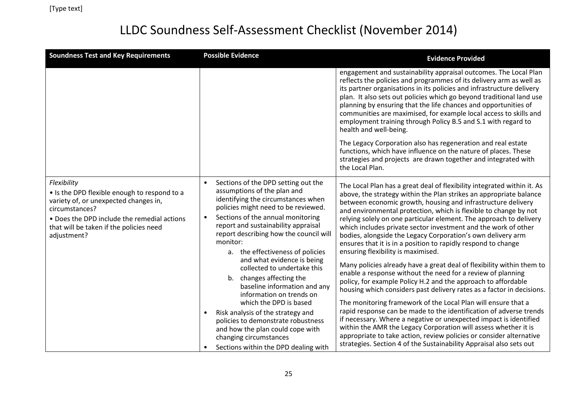| <b>Soundness Test and Key Requirements</b>                                                                                                                                                                                      | <b>Possible Evidence</b>                                                                                                                                                                                                                                                                                                                                                                                                                                                                                                                                                                                                                                                                                                     | <b>Evidence Provided</b>                                                                                                                                                                                                                                                                                                                                                                                                                                                                                                                                                                                                                                                                                                                                                                                                                                                                                                                                                                                                                                                                                                                                                                                                                                                                                       |
|---------------------------------------------------------------------------------------------------------------------------------------------------------------------------------------------------------------------------------|------------------------------------------------------------------------------------------------------------------------------------------------------------------------------------------------------------------------------------------------------------------------------------------------------------------------------------------------------------------------------------------------------------------------------------------------------------------------------------------------------------------------------------------------------------------------------------------------------------------------------------------------------------------------------------------------------------------------------|----------------------------------------------------------------------------------------------------------------------------------------------------------------------------------------------------------------------------------------------------------------------------------------------------------------------------------------------------------------------------------------------------------------------------------------------------------------------------------------------------------------------------------------------------------------------------------------------------------------------------------------------------------------------------------------------------------------------------------------------------------------------------------------------------------------------------------------------------------------------------------------------------------------------------------------------------------------------------------------------------------------------------------------------------------------------------------------------------------------------------------------------------------------------------------------------------------------------------------------------------------------------------------------------------------------|
|                                                                                                                                                                                                                                 |                                                                                                                                                                                                                                                                                                                                                                                                                                                                                                                                                                                                                                                                                                                              | engagement and sustainability appraisal outcomes. The Local Plan<br>reflects the policies and programmes of its delivery arm as well as<br>its partner organisations in its policies and infrastructure delivery<br>plan. It also sets out policies which go beyond traditional land use<br>planning by ensuring that the life chances and opportunities of<br>communities are maximised, for example local access to skills and<br>employment training through Policy B.5 and S.1 with regard to<br>health and well-being.                                                                                                                                                                                                                                                                                                                                                                                                                                                                                                                                                                                                                                                                                                                                                                                    |
|                                                                                                                                                                                                                                 |                                                                                                                                                                                                                                                                                                                                                                                                                                                                                                                                                                                                                                                                                                                              | The Legacy Corporation also has regeneration and real estate<br>functions, which have influence on the nature of places. These<br>strategies and projects are drawn together and integrated with<br>the Local Plan.                                                                                                                                                                                                                                                                                                                                                                                                                                                                                                                                                                                                                                                                                                                                                                                                                                                                                                                                                                                                                                                                                            |
| Flexibility<br>• Is the DPD flexible enough to respond to a<br>variety of, or unexpected changes in,<br>circumstances?<br>• Does the DPD include the remedial actions<br>that will be taken if the policies need<br>adjustment? | Sections of the DPD setting out the<br>$\bullet$<br>assumptions of the plan and<br>identifying the circumstances when<br>policies might need to be reviewed.<br>Sections of the annual monitoring<br>$\bullet$<br>report and sustainability appraisal<br>report describing how the council will<br>monitor:<br>a. the effectiveness of policies<br>and what evidence is being<br>collected to undertake this<br>b. changes affecting the<br>baseline information and any<br>information on trends on<br>which the DPD is based<br>Risk analysis of the strategy and<br>$\bullet$<br>policies to demonstrate robustness<br>and how the plan could cope with<br>changing circumstances<br>Sections within the DPD dealing with | The Local Plan has a great deal of flexibility integrated within it. As<br>above, the strategy within the Plan strikes an appropriate balance<br>between economic growth, housing and infrastructure delivery<br>and environmental protection, which is flexible to change by not<br>relying solely on one particular element. The approach to delivery<br>which includes private sector investment and the work of other<br>bodies, alongside the Legacy Corporation's own delivery arm<br>ensures that it is in a position to rapidly respond to change<br>ensuring flexibility is maximised.<br>Many policies already have a great deal of flexibility within them to<br>enable a response without the need for a review of planning<br>policy, for example Policy H.2 and the approach to affordable<br>housing which considers past delivery rates as a factor in decisions.<br>The monitoring framework of the Local Plan will ensure that a<br>rapid response can be made to the identification of adverse trends<br>if necessary. Where a negative or unexpected impact is identified<br>within the AMR the Legacy Corporation will assess whether it is<br>appropriate to take action, review policies or consider alternative<br>strategies. Section 4 of the Sustainability Appraisal also sets out |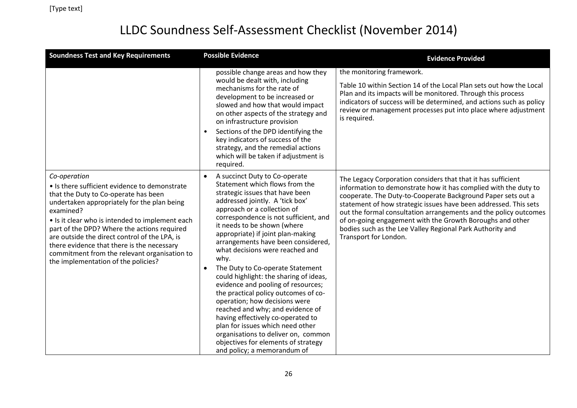| <b>Soundness Test and Key Requirements</b>                                                                                                                                                                                                                                                                                                                                                                                                                | <b>Possible Evidence</b>                                                                                                                                                                                                                                                                                                                                                                                                                                                                                                                                                                                                                                                                                                                                                                               | <b>Evidence Provided</b>                                                                                                                                                                                                                                                                                                                                                                                                                                                                   |
|-----------------------------------------------------------------------------------------------------------------------------------------------------------------------------------------------------------------------------------------------------------------------------------------------------------------------------------------------------------------------------------------------------------------------------------------------------------|--------------------------------------------------------------------------------------------------------------------------------------------------------------------------------------------------------------------------------------------------------------------------------------------------------------------------------------------------------------------------------------------------------------------------------------------------------------------------------------------------------------------------------------------------------------------------------------------------------------------------------------------------------------------------------------------------------------------------------------------------------------------------------------------------------|--------------------------------------------------------------------------------------------------------------------------------------------------------------------------------------------------------------------------------------------------------------------------------------------------------------------------------------------------------------------------------------------------------------------------------------------------------------------------------------------|
|                                                                                                                                                                                                                                                                                                                                                                                                                                                           | possible change areas and how they<br>would be dealt with, including<br>mechanisms for the rate of<br>development to be increased or<br>slowed and how that would impact<br>on other aspects of the strategy and<br>on infrastructure provision<br>Sections of the DPD identifying the<br>key indicators of success of the<br>strategy, and the remedial actions<br>which will be taken if adjustment is<br>required.                                                                                                                                                                                                                                                                                                                                                                                  | the monitoring framework.<br>Table 10 within Section 14 of the Local Plan sets out how the Local<br>Plan and its impacts will be monitored. Through this process<br>indicators of success will be determined, and actions such as policy<br>review or management processes put into place where adjustment<br>is required.                                                                                                                                                                 |
| Co-operation<br>• Is there sufficient evidence to demonstrate<br>that the Duty to Co-operate has been<br>undertaken appropriately for the plan being<br>examined?<br>• Is it clear who is intended to implement each<br>part of the DPD? Where the actions required<br>are outside the direct control of the LPA, is<br>there evidence that there is the necessary<br>commitment from the relevant organisation to<br>the implementation of the policies? | A succinct Duty to Co-operate<br>$\bullet$<br>Statement which flows from the<br>strategic issues that have been<br>addressed jointly. A 'tick box'<br>approach or a collection of<br>correspondence is not sufficient, and<br>it needs to be shown (where<br>appropriate) if joint plan-making<br>arrangements have been considered,<br>what decisions were reached and<br>why.<br>The Duty to Co-operate Statement<br>could highlight: the sharing of ideas,<br>evidence and pooling of resources;<br>the practical policy outcomes of co-<br>operation; how decisions were<br>reached and why; and evidence of<br>having effectively co-operated to<br>plan for issues which need other<br>organisations to deliver on, common<br>objectives for elements of strategy<br>and policy; a memorandum of | The Legacy Corporation considers that that it has sufficient<br>information to demonstrate how it has complied with the duty to<br>cooperate. The Duty-to-Cooperate Background Paper sets out a<br>statement of how strategic issues have been addressed. This sets<br>out the formal consultation arrangements and the policy outcomes<br>of on-going engagement with the Growth Boroughs and other<br>bodies such as the Lee Valley Regional Park Authority and<br>Transport for London. |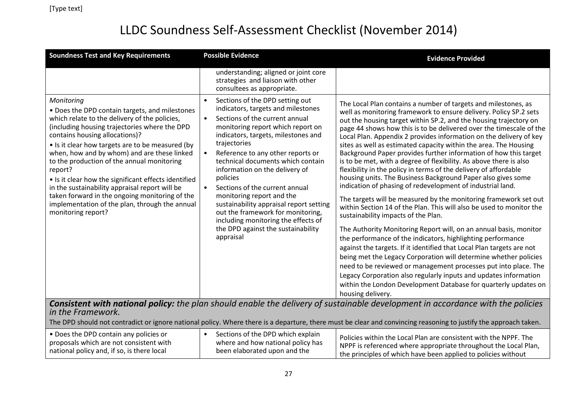| <b>Soundness Test and Key Requirements</b>                                                                                                                                                                                                                                                                                                                                                                                                                                                                                                                                                       | <b>Possible Evidence</b>                                                                                                                                                                                                                                                                                                                                                                                                                                                                                                                                                                                    | <b>Evidence Provided</b>                                                                                                                                                                                                                                                                                                                                                                                                                                                                                                                                                                                                                                                                                                                                                                                                                                                                                                                                                                                                                                                                                                                                                                                                                                                                                                                                                                                                                                                 |
|--------------------------------------------------------------------------------------------------------------------------------------------------------------------------------------------------------------------------------------------------------------------------------------------------------------------------------------------------------------------------------------------------------------------------------------------------------------------------------------------------------------------------------------------------------------------------------------------------|-------------------------------------------------------------------------------------------------------------------------------------------------------------------------------------------------------------------------------------------------------------------------------------------------------------------------------------------------------------------------------------------------------------------------------------------------------------------------------------------------------------------------------------------------------------------------------------------------------------|--------------------------------------------------------------------------------------------------------------------------------------------------------------------------------------------------------------------------------------------------------------------------------------------------------------------------------------------------------------------------------------------------------------------------------------------------------------------------------------------------------------------------------------------------------------------------------------------------------------------------------------------------------------------------------------------------------------------------------------------------------------------------------------------------------------------------------------------------------------------------------------------------------------------------------------------------------------------------------------------------------------------------------------------------------------------------------------------------------------------------------------------------------------------------------------------------------------------------------------------------------------------------------------------------------------------------------------------------------------------------------------------------------------------------------------------------------------------------|
|                                                                                                                                                                                                                                                                                                                                                                                                                                                                                                                                                                                                  | understanding; aligned or joint core<br>strategies and liaison with other<br>consultees as appropriate.                                                                                                                                                                                                                                                                                                                                                                                                                                                                                                     |                                                                                                                                                                                                                                                                                                                                                                                                                                                                                                                                                                                                                                                                                                                                                                                                                                                                                                                                                                                                                                                                                                                                                                                                                                                                                                                                                                                                                                                                          |
| Monitoring<br>• Does the DPD contain targets, and milestones<br>which relate to the delivery of the policies,<br>(including housing trajectories where the DPD<br>contains housing allocations)?<br>• Is it clear how targets are to be measured (by<br>when, how and by whom) and are these linked<br>to the production of the annual monitoring<br>report?<br>• Is it clear how the significant effects identified<br>in the sustainability appraisal report will be<br>taken forward in the ongoing monitoring of the<br>implementation of the plan, through the annual<br>monitoring report? | Sections of the DPD setting out<br>indicators, targets and milestones<br>Sections of the current annual<br>$\bullet$<br>monitoring report which report on<br>indicators, targets, milestones and<br>trajectories<br>Reference to any other reports or<br>$\bullet$<br>technical documents which contain<br>information on the delivery of<br>policies<br>Sections of the current annual<br>$\bullet$<br>monitoring report and the<br>sustainability appraisal report setting<br>out the framework for monitoring,<br>including monitoring the effects of<br>the DPD against the sustainability<br>appraisal | The Local Plan contains a number of targets and milestones, as<br>well as monitoring framework to ensure delivery. Policy SP.2 sets<br>out the housing target within SP.2, and the housing trajectory on<br>page 44 shows how this is to be delivered over the timescale of the<br>Local Plan. Appendix 2 provides information on the delivery of key<br>sites as well as estimated capacity within the area. The Housing<br>Background Paper provides further information of how this target<br>is to be met, with a degree of flexibility. As above there is also<br>flexibility in the policy in terms of the delivery of affordable<br>housing units. The Business Background Paper also gives some<br>indication of phasing of redevelopment of industrial land.<br>The targets will be measured by the monitoring framework set out<br>within Section 14 of the Plan. This will also be used to monitor the<br>sustainability impacts of the Plan.<br>The Authority Monitoring Report will, on an annual basis, monitor<br>the performance of the indicators, highlighting performance<br>against the targets. If it identified that Local Plan targets are not<br>being met the Legacy Corporation will determine whether policies<br>need to be reviewed or management processes put into place. The<br>Legacy Corporation also regularly inputs and updates information<br>within the London Development Database for quarterly updates on<br>housing delivery. |
| Consistent with national policy: the plan should enable the delivery of sustainable development in accordance with the policies<br>in the Framework.<br>The DPD should not contradict or ignore national policy. Where there is a departure, there must be clear and convincing reasoning to justify the approach taken.                                                                                                                                                                                                                                                                         |                                                                                                                                                                                                                                                                                                                                                                                                                                                                                                                                                                                                             |                                                                                                                                                                                                                                                                                                                                                                                                                                                                                                                                                                                                                                                                                                                                                                                                                                                                                                                                                                                                                                                                                                                                                                                                                                                                                                                                                                                                                                                                          |
| • Does the DPD contain any policies or<br>proposals which are not consistent with<br>national policy and, if so, is there local                                                                                                                                                                                                                                                                                                                                                                                                                                                                  | Sections of the DPD which explain<br>where and how national policy has<br>been elaborated upon and the                                                                                                                                                                                                                                                                                                                                                                                                                                                                                                      | Policies within the Local Plan are consistent with the NPPF. The<br>NPPF is referenced where appropriate throughout the Local Plan,<br>the principles of which have been applied to policies without                                                                                                                                                                                                                                                                                                                                                                                                                                                                                                                                                                                                                                                                                                                                                                                                                                                                                                                                                                                                                                                                                                                                                                                                                                                                     |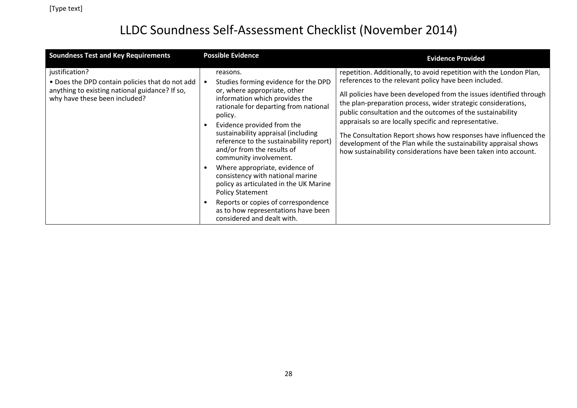| <b>Soundness Test and Key Requirements</b>                                                                                                           | <b>Possible Evidence</b>                                                                                                                                                                                                                                                                                                                                                                                                                                                                                                                                                                              | <b>Evidence Provided</b>                                                                                                                                                                                                                                                                                                                                                                                                                                                                                                                                                                               |
|------------------------------------------------------------------------------------------------------------------------------------------------------|-------------------------------------------------------------------------------------------------------------------------------------------------------------------------------------------------------------------------------------------------------------------------------------------------------------------------------------------------------------------------------------------------------------------------------------------------------------------------------------------------------------------------------------------------------------------------------------------------------|--------------------------------------------------------------------------------------------------------------------------------------------------------------------------------------------------------------------------------------------------------------------------------------------------------------------------------------------------------------------------------------------------------------------------------------------------------------------------------------------------------------------------------------------------------------------------------------------------------|
| justification?<br>. Does the DPD contain policies that do not add<br>anything to existing national guidance? If so,<br>why have these been included? | reasons.<br>Studies forming evidence for the DPD<br>or, where appropriate, other<br>information which provides the<br>rationale for departing from national<br>policy.<br>Evidence provided from the<br>sustainability appraisal (including<br>reference to the sustainability report)<br>and/or from the results of<br>community involvement.<br>Where appropriate, evidence of<br>consistency with national marine<br>policy as articulated in the UK Marine<br><b>Policy Statement</b><br>Reports or copies of correspondence<br>as to how representations have been<br>considered and dealt with. | repetition. Additionally, to avoid repetition with the London Plan,<br>references to the relevant policy have been included.<br>All policies have been developed from the issues identified through<br>the plan-preparation process, wider strategic considerations,<br>public consultation and the outcomes of the sustainability<br>appraisals so are locally specific and representative.<br>The Consultation Report shows how responses have influenced the<br>development of the Plan while the sustainability appraisal shows<br>how sustainability considerations have been taken into account. |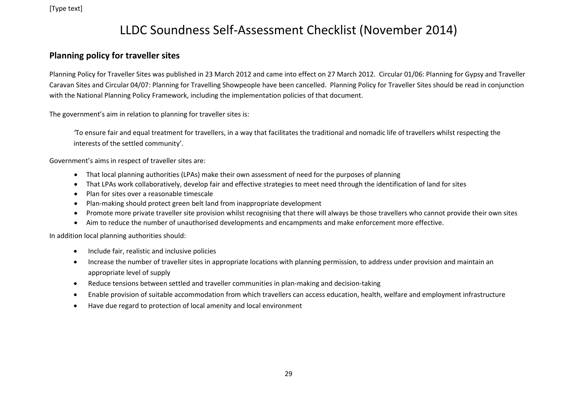#### **Planning policy for traveller sites**

Planning Policy for Traveller Sites was published in 23 March 2012 and came into effect on 27 March 2012. Circular 01/06: Planning for Gypsy and Traveller Caravan Sites and Circular 04/07: Planning for Travelling Showpeople have been cancelled. Planning Policy for Traveller Sites should be read in conjunction with the National Planning Policy Framework, including the implementation policies of that document.

The government's aim in relation to planning for traveller sites is:

*'*To ensure fair and equal treatment for travellers, in a way that facilitates the traditional and nomadic life of travellers whilst respecting the interests of the settled community'.

Government's aims in respect of traveller sites are:

- That local planning authorities (LPAs) make their own assessment of need for the purposes of planning
- That LPAs work collaboratively, develop fair and effective strategies to meet need through the identification of land for sites
- Plan for sites over a reasonable timescale
- Plan-making should protect green belt land from inappropriate development
- Promote more private traveller site provision whilst recognising that there will always be those travellers who cannot provide their own sites
- Aim to reduce the number of unauthorised developments and encampments and make enforcement more effective.

In addition local planning authorities should:

- Include fair, realistic and inclusive policies
- Increase the number of traveller sites in appropriate locations with planning permission, to address under provision and maintain an appropriate level of supply
- Reduce tensions between settled and traveller communities in plan-making and decision-taking
- Enable provision of suitable accommodation from which travellers can access education, health, welfare and employment infrastructure
- Have due regard to protection of local amenity and local environment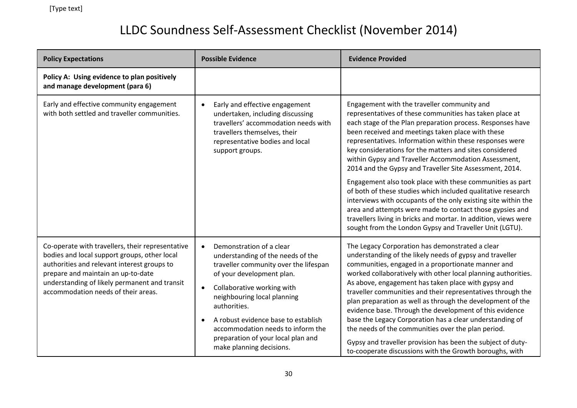| <b>Policy Expectations</b>                                                                                                                                                                                                                                                    | <b>Possible Evidence</b>                                                                                                                                                                                                                                                                                                                                                                              | <b>Evidence Provided</b>                                                                                                                                                                                                                                                                                                                                                                                                                                                                                                                                                                                                                                                                                                                                                                                                                                     |
|-------------------------------------------------------------------------------------------------------------------------------------------------------------------------------------------------------------------------------------------------------------------------------|-------------------------------------------------------------------------------------------------------------------------------------------------------------------------------------------------------------------------------------------------------------------------------------------------------------------------------------------------------------------------------------------------------|--------------------------------------------------------------------------------------------------------------------------------------------------------------------------------------------------------------------------------------------------------------------------------------------------------------------------------------------------------------------------------------------------------------------------------------------------------------------------------------------------------------------------------------------------------------------------------------------------------------------------------------------------------------------------------------------------------------------------------------------------------------------------------------------------------------------------------------------------------------|
| Policy A: Using evidence to plan positively<br>and manage development (para 6)                                                                                                                                                                                                |                                                                                                                                                                                                                                                                                                                                                                                                       |                                                                                                                                                                                                                                                                                                                                                                                                                                                                                                                                                                                                                                                                                                                                                                                                                                                              |
| Early and effective community engagement<br>with both settled and traveller communities.                                                                                                                                                                                      | Early and effective engagement<br>undertaken, including discussing<br>travellers' accommodation needs with<br>travellers themselves, their<br>representative bodies and local<br>support groups.                                                                                                                                                                                                      | Engagement with the traveller community and<br>representatives of these communities has taken place at<br>each stage of the Plan preparation process. Responses have<br>been received and meetings taken place with these<br>representatives. Information within these responses were<br>key considerations for the matters and sites considered<br>within Gypsy and Traveller Accommodation Assessment,<br>2014 and the Gypsy and Traveller Site Assessment, 2014.<br>Engagement also took place with these communities as part<br>of both of these studies which included qualitative research<br>interviews with occupants of the only existing site within the<br>area and attempts were made to contact those gypsies and<br>travellers living in bricks and mortar. In addition, views were<br>sought from the London Gypsy and Traveller Unit (LGTU). |
| Co-operate with travellers, their representative<br>bodies and local support groups, other local<br>authorities and relevant interest groups to<br>prepare and maintain an up-to-date<br>understanding of likely permanent and transit<br>accommodation needs of their areas. | Demonstration of a clear<br>$\bullet$<br>understanding of the needs of the<br>traveller community over the lifespan<br>of your development plan.<br>Collaborative working with<br>$\bullet$<br>neighbouring local planning<br>authorities.<br>A robust evidence base to establish<br>$\bullet$<br>accommodation needs to inform the<br>preparation of your local plan and<br>make planning decisions. | The Legacy Corporation has demonstrated a clear<br>understanding of the likely needs of gypsy and traveller<br>communities, engaged in a proportionate manner and<br>worked collaboratively with other local planning authorities.<br>As above, engagement has taken place with gypsy and<br>traveller communities and their representatives through the<br>plan preparation as well as through the development of the<br>evidence base. Through the development of this evidence<br>base the Legacy Corporation has a clear understanding of<br>the needs of the communities over the plan period.<br>Gypsy and traveller provision has been the subject of duty-<br>to-cooperate discussions with the Growth boroughs, with                                                                                                                                |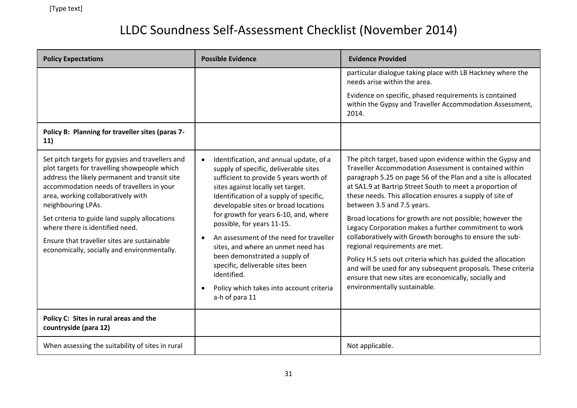| <b>Policy Expectations</b>                                                                                                                                                                                                                                                                                                                                                                                                                   | <b>Possible Evidence</b>                                                                                                                                                                                                                                                                                                                                                                                                                                                                                                                                                                            | <b>Evidence Provided</b>                                                                                                                                                                                                                                                                                                                                                                                                                                                                                                                                                                                                                                                                                                                                                               |
|----------------------------------------------------------------------------------------------------------------------------------------------------------------------------------------------------------------------------------------------------------------------------------------------------------------------------------------------------------------------------------------------------------------------------------------------|-----------------------------------------------------------------------------------------------------------------------------------------------------------------------------------------------------------------------------------------------------------------------------------------------------------------------------------------------------------------------------------------------------------------------------------------------------------------------------------------------------------------------------------------------------------------------------------------------------|----------------------------------------------------------------------------------------------------------------------------------------------------------------------------------------------------------------------------------------------------------------------------------------------------------------------------------------------------------------------------------------------------------------------------------------------------------------------------------------------------------------------------------------------------------------------------------------------------------------------------------------------------------------------------------------------------------------------------------------------------------------------------------------|
|                                                                                                                                                                                                                                                                                                                                                                                                                                              |                                                                                                                                                                                                                                                                                                                                                                                                                                                                                                                                                                                                     | particular dialogue taking place with LB Hackney where the<br>needs arise within the area.                                                                                                                                                                                                                                                                                                                                                                                                                                                                                                                                                                                                                                                                                             |
|                                                                                                                                                                                                                                                                                                                                                                                                                                              |                                                                                                                                                                                                                                                                                                                                                                                                                                                                                                                                                                                                     | Evidence on specific, phased requirements is contained<br>within the Gypsy and Traveller Accommodation Assessment,<br>2014.                                                                                                                                                                                                                                                                                                                                                                                                                                                                                                                                                                                                                                                            |
| Policy B: Planning for traveller sites (paras 7-<br>11)                                                                                                                                                                                                                                                                                                                                                                                      |                                                                                                                                                                                                                                                                                                                                                                                                                                                                                                                                                                                                     |                                                                                                                                                                                                                                                                                                                                                                                                                                                                                                                                                                                                                                                                                                                                                                                        |
| Set pitch targets for gypsies and travellers and<br>plot targets for travelling showpeople which<br>address the likely permanent and transit site<br>accommodation needs of travellers in your<br>area, working collaboratively with<br>neighbouring LPAs.<br>Set criteria to guide land supply allocations<br>where there is identified need.<br>Ensure that traveller sites are sustainable<br>economically, socially and environmentally. | Identification, and annual update, of a<br>$\bullet$<br>supply of specific, deliverable sites<br>sufficient to provide 5 years worth of<br>sites against locally set target.<br>Identification of a supply of specific,<br>developable sites or broad locations<br>for growth for years 6-10, and, where<br>possible, for years 11-15.<br>An assessment of the need for traveller<br>$\bullet$<br>sites, and where an unmet need has<br>been demonstrated a supply of<br>specific, deliverable sites been<br>identified.<br>Policy which takes into account criteria<br>$\bullet$<br>a-h of para 11 | The pitch target, based upon evidence within the Gypsy and<br>Traveller Accommodation Assessment is contained within<br>paragraph 5.25 on page 56 of the Plan and a site is allocated<br>at SA1.9 at Bartrip Street South to meet a proportion of<br>these needs. This allocation ensures a supply of site of<br>between 3.5 and 7.5 years.<br>Broad locations for growth are not possible; however the<br>Legacy Corporation makes a further commitment to work<br>collaboratively with Growth boroughs to ensure the sub-<br>regional requirements are met.<br>Policy H.5 sets out criteria which has guided the allocation<br>and will be used for any subsequent proposals. These criteria<br>ensure that new sites are economically, socially and<br>environmentally sustainable. |
| Policy C: Sites in rural areas and the<br>countryside (para 12)                                                                                                                                                                                                                                                                                                                                                                              |                                                                                                                                                                                                                                                                                                                                                                                                                                                                                                                                                                                                     |                                                                                                                                                                                                                                                                                                                                                                                                                                                                                                                                                                                                                                                                                                                                                                                        |
| When assessing the suitability of sites in rural                                                                                                                                                                                                                                                                                                                                                                                             |                                                                                                                                                                                                                                                                                                                                                                                                                                                                                                                                                                                                     | Not applicable.                                                                                                                                                                                                                                                                                                                                                                                                                                                                                                                                                                                                                                                                                                                                                                        |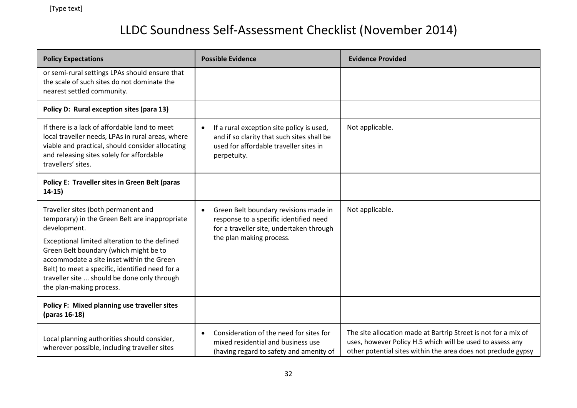| <b>Policy Expectations</b>                                                                                                                                                                                                                                         | <b>Possible Evidence</b>                                                                                                                                             | <b>Evidence Provided</b>                                                                                                                                                                     |
|--------------------------------------------------------------------------------------------------------------------------------------------------------------------------------------------------------------------------------------------------------------------|----------------------------------------------------------------------------------------------------------------------------------------------------------------------|----------------------------------------------------------------------------------------------------------------------------------------------------------------------------------------------|
| or semi-rural settings LPAs should ensure that<br>the scale of such sites do not dominate the<br>nearest settled community.                                                                                                                                        |                                                                                                                                                                      |                                                                                                                                                                                              |
| Policy D: Rural exception sites (para 13)                                                                                                                                                                                                                          |                                                                                                                                                                      |                                                                                                                                                                                              |
| If there is a lack of affordable land to meet<br>local traveller needs, LPAs in rural areas, where<br>viable and practical, should consider allocating<br>and releasing sites solely for affordable<br>travellers' sites.                                          | If a rural exception site policy is used,<br>$\bullet$<br>and if so clarity that such sites shall be<br>used for affordable traveller sites in<br>perpetuity.        | Not applicable.                                                                                                                                                                              |
| Policy E: Traveller sites in Green Belt (paras<br>$14-15)$                                                                                                                                                                                                         |                                                                                                                                                                      |                                                                                                                                                                                              |
| Traveller sites (both permanent and<br>temporary) in the Green Belt are inappropriate<br>development.                                                                                                                                                              | Green Belt boundary revisions made in<br>$\bullet$<br>response to a specific identified need<br>for a traveller site, undertaken through<br>the plan making process. | Not applicable.                                                                                                                                                                              |
| Exceptional limited alteration to the defined<br>Green Belt boundary (which might be to<br>accommodate a site inset within the Green<br>Belt) to meet a specific, identified need for a<br>traveller site  should be done only through<br>the plan-making process. |                                                                                                                                                                      |                                                                                                                                                                                              |
| Policy F: Mixed planning use traveller sites<br>(paras 16-18)                                                                                                                                                                                                      |                                                                                                                                                                      |                                                                                                                                                                                              |
| Local planning authorities should consider,<br>wherever possible, including traveller sites                                                                                                                                                                        | Consideration of the need for sites for<br>$\bullet$<br>mixed residential and business use<br>(having regard to safety and amenity of                                | The site allocation made at Bartrip Street is not for a mix of<br>uses, however Policy H.5 which will be used to assess any<br>other potential sites within the area does not preclude gypsy |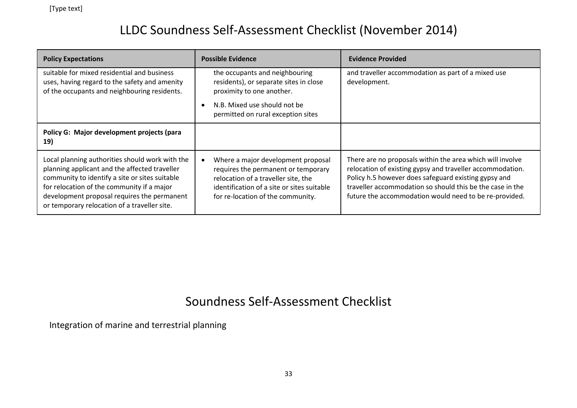| <b>Policy Expectations</b>                                                                                                                                                                                                                                                                      | <b>Possible Evidence</b>                                                                                                                                                                                         | <b>Evidence Provided</b>                                                                                                                                                                                                                                                                              |
|-------------------------------------------------------------------------------------------------------------------------------------------------------------------------------------------------------------------------------------------------------------------------------------------------|------------------------------------------------------------------------------------------------------------------------------------------------------------------------------------------------------------------|-------------------------------------------------------------------------------------------------------------------------------------------------------------------------------------------------------------------------------------------------------------------------------------------------------|
| suitable for mixed residential and business<br>uses, having regard to the safety and amenity<br>of the occupants and neighbouring residents.                                                                                                                                                    | the occupants and neighbouring<br>residents), or separate sites in close<br>proximity to one another.                                                                                                            | and traveller accommodation as part of a mixed use<br>development.                                                                                                                                                                                                                                    |
|                                                                                                                                                                                                                                                                                                 | N.B. Mixed use should not be<br>$\epsilon$<br>permitted on rural exception sites                                                                                                                                 |                                                                                                                                                                                                                                                                                                       |
| Policy G: Major development projects (para<br>19)                                                                                                                                                                                                                                               |                                                                                                                                                                                                                  |                                                                                                                                                                                                                                                                                                       |
| Local planning authorities should work with the<br>planning applicant and the affected traveller<br>community to identify a site or sites suitable<br>for relocation of the community if a major<br>development proposal requires the permanent<br>or temporary relocation of a traveller site. | Where a major development proposal<br>$\bullet$<br>requires the permanent or temporary<br>relocation of a traveller site, the<br>identification of a site or sites suitable<br>for re-location of the community. | There are no proposals within the area which will involve<br>relocation of existing gypsy and traveller accommodation.<br>Policy h.5 however does safeguard existing gypsy and<br>traveller accommodation so should this be the case in the<br>future the accommodation would need to be re-provided. |

#### Soundness Self-Assessment Checklist

Integration of marine and terrestrial planning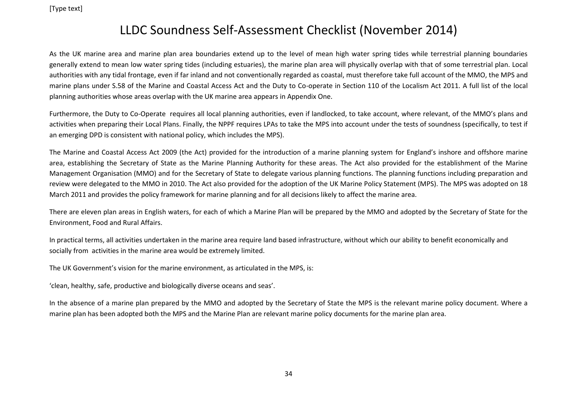[Type text]

#### LLDC Soundness Self-Assessment Checklist (November 2014)

As the UK marine area and marine plan area boundaries extend up to the level of mean high water spring tides while terrestrial planning boundaries generally extend to mean low water spring tides (including estuaries), the marine plan area will physically overlap with that of some terrestrial plan. Local authorities with any tidal frontage, even if far inland and not conventionally regarded as coastal, must therefore take full account of the MMO, the MPS and marine plans under S.58 of the Marine and Coastal Access Act and the Duty to Co-operate in Section 110 of the Localism Act 2011. A full list of the local planning authorities whose areas overlap with the UK marine area appears in Appendix One.

Furthermore, the Duty to Co-Operate requires all local planning authorities, even if landlocked, to take account, where relevant, of the MMO's plans and activities when preparing their Local Plans. Finally, the NPPF requires LPAs to take the MPS into account under the tests of soundness (specifically, to test if an emerging DPD is consistent with national policy, which includes the MPS).

The Marine and Coastal Access Act 2009 (the Act) provided for the introduction of a marine planning system for England's inshore and offshore marine area, establishing the Secretary of State as the Marine Planning Authority for these areas. The Act also provided for the establishment of the Marine Management Organisation (MMO) and for the Secretary of State to delegate various planning functions. The planning functions including preparation and review were delegated to the MMO in 2010. The Act also provided for the adoption of the UK Marine Policy Statement (MPS). The MPS was adopted on 18 March 2011 and provides the policy framework for marine planning and for all decisions likely to affect the marine area.

There are eleven plan areas in English waters, for each of which a Marine Plan will be prepared by the MMO and adopted by the Secretary of State for the Environment, Food and Rural Affairs.

In practical terms, all activities undertaken in the marine area require land based infrastructure, without which our ability to benefit economically and socially from activities in the marine area would be extremely limited.

The UK Government's vision for the marine environment, as articulated in the MPS, is:

'clean, healthy, safe, productive and biologically diverse oceans and seas'.

In the absence of a marine plan prepared by the MMO and adopted by the Secretary of State the MPS is the relevant marine policy document. Where a marine plan has been adopted both the MPS and the Marine Plan are relevant marine policy documents for the marine plan area.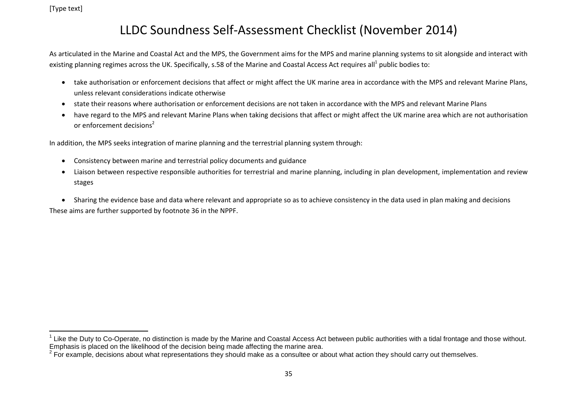$\overline{a}$ 

#### LLDC Soundness Self-Assessment Checklist (November 2014)

As articulated in the Marine and Coastal Act and the MPS, the Government aims for the MPS and marine planning systems to sit alongside and interact with existing planning regimes across the UK. Specifically, s.58 of the Marine and Coastal Access Act requires all<sup>1</sup> public bodies to:

- take authorisation or enforcement decisions that affect or might affect the UK marine area in accordance with the MPS and relevant Marine Plans, unless relevant considerations indicate otherwise
- state their reasons where authorisation or enforcement decisions are not taken in accordance with the MPS and relevant Marine Plans
- have regard to the MPS and relevant Marine Plans when taking decisions that affect or might affect the UK marine area which are not authorisation or enforcement decisions<sup>2</sup>

In addition, the MPS seeks integration of marine planning and the terrestrial planning system through:

- Consistency between marine and terrestrial policy documents and guidance
- Liaison between respective responsible authorities for terrestrial and marine planning, including in plan development, implementation and review stages

 Sharing the evidence base and data where relevant and appropriate so as to achieve consistency in the data used in plan making and decisions These aims are further supported by footnote 36 in the NPPF.

 $1$  Like the Duty to Co-Operate, no distinction is made by the Marine and Coastal Access Act between public authorities with a tidal frontage and those without. Emphasis is placed on the likelihood of the decision being made affecting the marine area.

 $2$  For example, decisions about what representations they should make as a consultee or about what action they should carry out themselves.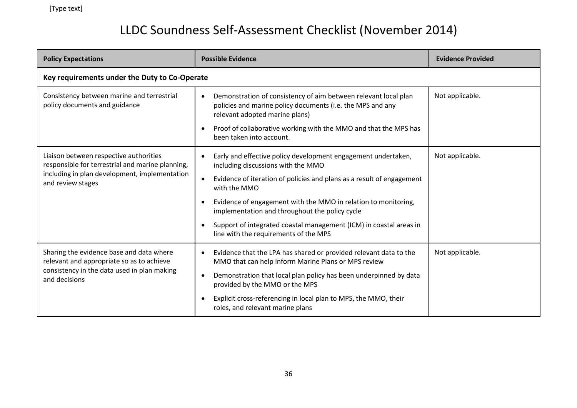| <b>Policy Expectations</b>                                                                                                                                       | <b>Possible Evidence</b>                                                                                                                                                                                                                                                                                                                                                                                                        | <b>Evidence Provided</b> |  |
|------------------------------------------------------------------------------------------------------------------------------------------------------------------|---------------------------------------------------------------------------------------------------------------------------------------------------------------------------------------------------------------------------------------------------------------------------------------------------------------------------------------------------------------------------------------------------------------------------------|--------------------------|--|
| Key requirements under the Duty to Co-Operate                                                                                                                    |                                                                                                                                                                                                                                                                                                                                                                                                                                 |                          |  |
| Consistency between marine and terrestrial<br>policy documents and guidance                                                                                      | Demonstration of consistency of aim between relevant local plan<br>policies and marine policy documents (i.e. the MPS and any<br>relevant adopted marine plans)<br>Proof of collaborative working with the MMO and that the MPS has<br>$\bullet$<br>been taken into account.                                                                                                                                                    | Not applicable.          |  |
| Liaison between respective authorities<br>responsible for terrestrial and marine planning,<br>including in plan development, implementation<br>and review stages | Early and effective policy development engagement undertaken,<br>including discussions with the MMO<br>Evidence of iteration of policies and plans as a result of engagement<br>with the MMO<br>Evidence of engagement with the MMO in relation to monitoring,<br>implementation and throughout the policy cycle<br>Support of integrated coastal management (ICM) in coastal areas in<br>line with the requirements of the MPS | Not applicable.          |  |
| Sharing the evidence base and data where<br>relevant and appropriate so as to achieve<br>consistency in the data used in plan making<br>and decisions            | Evidence that the LPA has shared or provided relevant data to the<br>MMO that can help inform Marine Plans or MPS review<br>Demonstration that local plan policy has been underpinned by data<br>provided by the MMO or the MPS<br>Explicit cross-referencing in local plan to MPS, the MMO, their<br>roles, and relevant marine plans                                                                                          | Not applicable.          |  |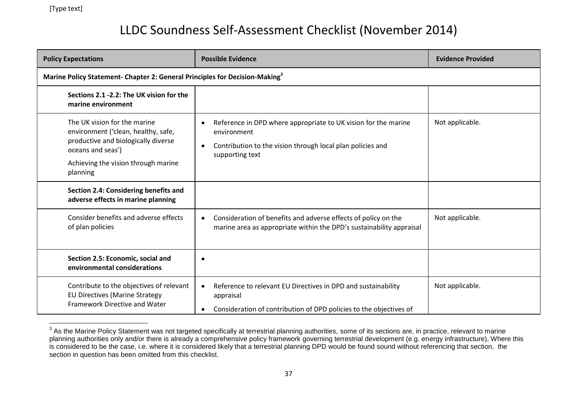| <b>Policy Expectations</b>                                                                                                                                                         | <b>Possible Evidence</b>                                                                                                                                                    | <b>Evidence Provided</b> |
|------------------------------------------------------------------------------------------------------------------------------------------------------------------------------------|-----------------------------------------------------------------------------------------------------------------------------------------------------------------------------|--------------------------|
| Marine Policy Statement- Chapter 2: General Principles for Decision-Making <sup>3</sup>                                                                                            |                                                                                                                                                                             |                          |
| Sections 2.1 -2.2: The UK vision for the<br>marine environment                                                                                                                     |                                                                                                                                                                             |                          |
| The UK vision for the marine<br>environment ('clean, healthy, safe,<br>productive and biologically diverse<br>oceans and seas')<br>Achieving the vision through marine<br>planning | Reference in DPD where appropriate to UK vision for the marine<br>$\bullet$<br>environment<br>Contribution to the vision through local plan policies and<br>supporting text | Not applicable.          |
| Section 2.4: Considering benefits and<br>adverse effects in marine planning                                                                                                        |                                                                                                                                                                             |                          |
| Consider benefits and adverse effects<br>of plan policies                                                                                                                          | Consideration of benefits and adverse effects of policy on the<br>marine area as appropriate within the DPD's sustainability appraisal                                      | Not applicable.          |
| Section 2.5: Economic, social and<br>environmental considerations                                                                                                                  |                                                                                                                                                                             |                          |
| Contribute to the objectives of relevant<br><b>EU Directives (Marine Strategy</b><br><b>Framework Directive and Water</b>                                                          | Reference to relevant EU Directives in DPD and sustainability<br>$\bullet$<br>appraisal<br>Consideration of contribution of DPD policies to the objectives of               | Not applicable.          |

 3 As the Marine Policy Statement was not targeted specifically at terrestrial planning authorities, some of its sections are, in practice, relevant to marine planning authorities only and/or there is already a comprehensive policy framework governing terrestrial development (e.g. energy infrastructure), Where this is considered to be the case, i.e. where it is considered likely that a terrestrial planning DPD would be found sound without referencing that section, the section in question has been omitted from this checklist.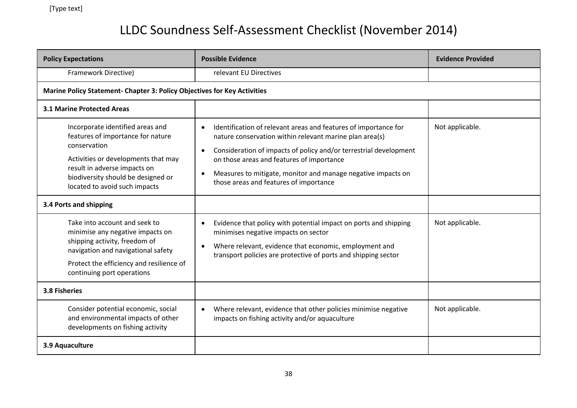| <b>Policy Expectations</b>                                                                                                                                                                                                          | <b>Possible Evidence</b>                                                                                                                                                                                                                                                                                                                                                                      | <b>Evidence Provided</b> |  |
|-------------------------------------------------------------------------------------------------------------------------------------------------------------------------------------------------------------------------------------|-----------------------------------------------------------------------------------------------------------------------------------------------------------------------------------------------------------------------------------------------------------------------------------------------------------------------------------------------------------------------------------------------|--------------------------|--|
| Framework Directive)                                                                                                                                                                                                                | relevant EU Directives                                                                                                                                                                                                                                                                                                                                                                        |                          |  |
|                                                                                                                                                                                                                                     | Marine Policy Statement- Chapter 3: Policy Objectives for Key Activities                                                                                                                                                                                                                                                                                                                      |                          |  |
| <b>3.1 Marine Protected Areas</b>                                                                                                                                                                                                   |                                                                                                                                                                                                                                                                                                                                                                                               |                          |  |
| Incorporate identified areas and<br>features of importance for nature<br>conservation<br>Activities or developments that may<br>result in adverse impacts on<br>biodiversity should be designed or<br>located to avoid such impacts | Identification of relevant areas and features of importance for<br>$\bullet$<br>nature conservation within relevant marine plan area(s)<br>Consideration of impacts of policy and/or terrestrial development<br>$\bullet$<br>on those areas and features of importance<br>Measures to mitigate, monitor and manage negative impacts on<br>$\bullet$<br>those areas and features of importance | Not applicable.          |  |
| 3.4 Ports and shipping                                                                                                                                                                                                              |                                                                                                                                                                                                                                                                                                                                                                                               |                          |  |
| Take into account and seek to<br>minimise any negative impacts on<br>shipping activity, freedom of<br>navigation and navigational safety<br>Protect the efficiency and resilience of<br>continuing port operations                  | Evidence that policy with potential impact on ports and shipping<br>$\bullet$<br>minimises negative impacts on sector<br>Where relevant, evidence that economic, employment and<br>transport policies are protective of ports and shipping sector                                                                                                                                             | Not applicable.          |  |
| 3.8 Fisheries                                                                                                                                                                                                                       |                                                                                                                                                                                                                                                                                                                                                                                               |                          |  |
| Consider potential economic, social<br>and environmental impacts of other<br>developments on fishing activity                                                                                                                       | Where relevant, evidence that other policies minimise negative<br>$\bullet$<br>impacts on fishing activity and/or aquaculture                                                                                                                                                                                                                                                                 | Not applicable.          |  |
| 3.9 Aquaculture                                                                                                                                                                                                                     |                                                                                                                                                                                                                                                                                                                                                                                               |                          |  |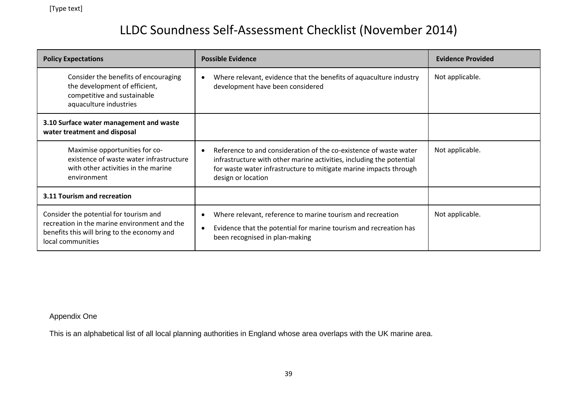| <b>Policy Expectations</b>                                                                                                                                 | <b>Possible Evidence</b>                                                                                                                                                                                                             | <b>Evidence Provided</b> |
|------------------------------------------------------------------------------------------------------------------------------------------------------------|--------------------------------------------------------------------------------------------------------------------------------------------------------------------------------------------------------------------------------------|--------------------------|
| Consider the benefits of encouraging<br>the development of efficient,<br>competitive and sustainable<br>aquaculture industries                             | Where relevant, evidence that the benefits of aquaculture industry<br>development have been considered                                                                                                                               | Not applicable.          |
| 3.10 Surface water management and waste<br>water treatment and disposal                                                                                    |                                                                                                                                                                                                                                      |                          |
| Maximise opportunities for co-<br>existence of waste water infrastructure<br>with other activities in the marine<br>environment                            | Reference to and consideration of the co-existence of waste water<br>infrastructure with other marine activities, including the potential<br>for waste water infrastructure to mitigate marine impacts through<br>design or location | Not applicable.          |
| 3.11 Tourism and recreation                                                                                                                                |                                                                                                                                                                                                                                      |                          |
| Consider the potential for tourism and<br>recreation in the marine environment and the<br>benefits this will bring to the economy and<br>local communities | Where relevant, reference to marine tourism and recreation<br>Evidence that the potential for marine tourism and recreation has<br>been recognised in plan-making                                                                    | Not applicable.          |

#### Appendix One

This is an alphabetical list of all local planning authorities in England whose area overlaps with the UK marine area.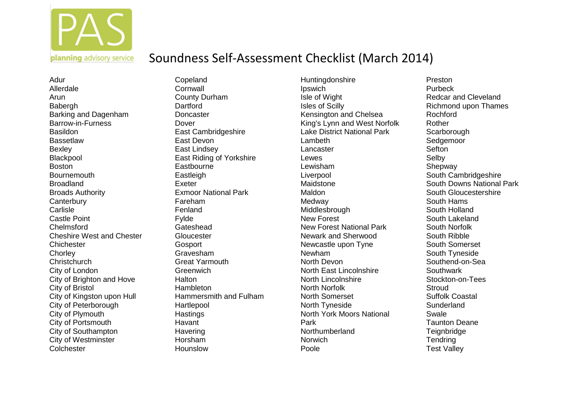

#### planning advisory service Soundness Self-Assessment Checklist (March 2014)

Adur Allerdale Arun **Babergh** Barking and Dagenham Barrow-in-Furness **Basildon Bassetlaw** Bexley Blackpool Boston **Bournemouth** Broadland Broads Authority **Canterbury** Carlisle Castle Point Chelmsford Cheshire West and Chester **Chichester Chorley Christchurch** City of London City of Brighton and Hove City of Bristol City of Kingston upon Hull City of Peterborough City of Plymouth City of Portsmouth City of Southampton City of Westminster **Colchester** 

Copeland **Cornwall** County Durham **Dartford Doncaster** Dover East Cambridgeshire East Devon East Lindsey East Riding of Yorkshire **Eastbourne Eastleigh** Exeter Exmoor National Park Fareham Fenland Fylde Gateshead **Gloucester Gosport** Gravesham Great Yarmouth **Greenwich Halton Hambleton** Hammersmith and Fulham **Hartlepool** Hastings Havant **Havering** Horsham Hounslow

Huntingdonshire **Ipswich** Isle of Wight Isles of Scilly Kensington and Chelsea King's Lynn and West Norfolk Lake District National Park Lambeth Lancaster Lewes Lewisham Liverpool Maidstone Maldon **Medway** Middlesbrough New Forest New Forest National Park Newark and Sherwood Newcastle upon Tyne Newham North Devon North East Lincolnshire North Lincolnshire North Norfolk North Somerset North Tyneside North York Moors National Park Northumberland Norwich Poole

Preston **Purbeck** Redcar and Cleveland Richmond upon Thames Rochford Rother **Scarborough Sedgemoor Sefton** Selby **Shepway** South Cambridgeshire South Downs National Park South Gloucestershire South Hams South Holland South Lakeland South Norfolk South Ribble South Somerset South Tyneside Southend-on-Sea **Southwark** Stockton-on-Tees Stroud Suffolk Coastal Sunderland Swale Taunton Deane **Teignbridge Tendring** Test Valley